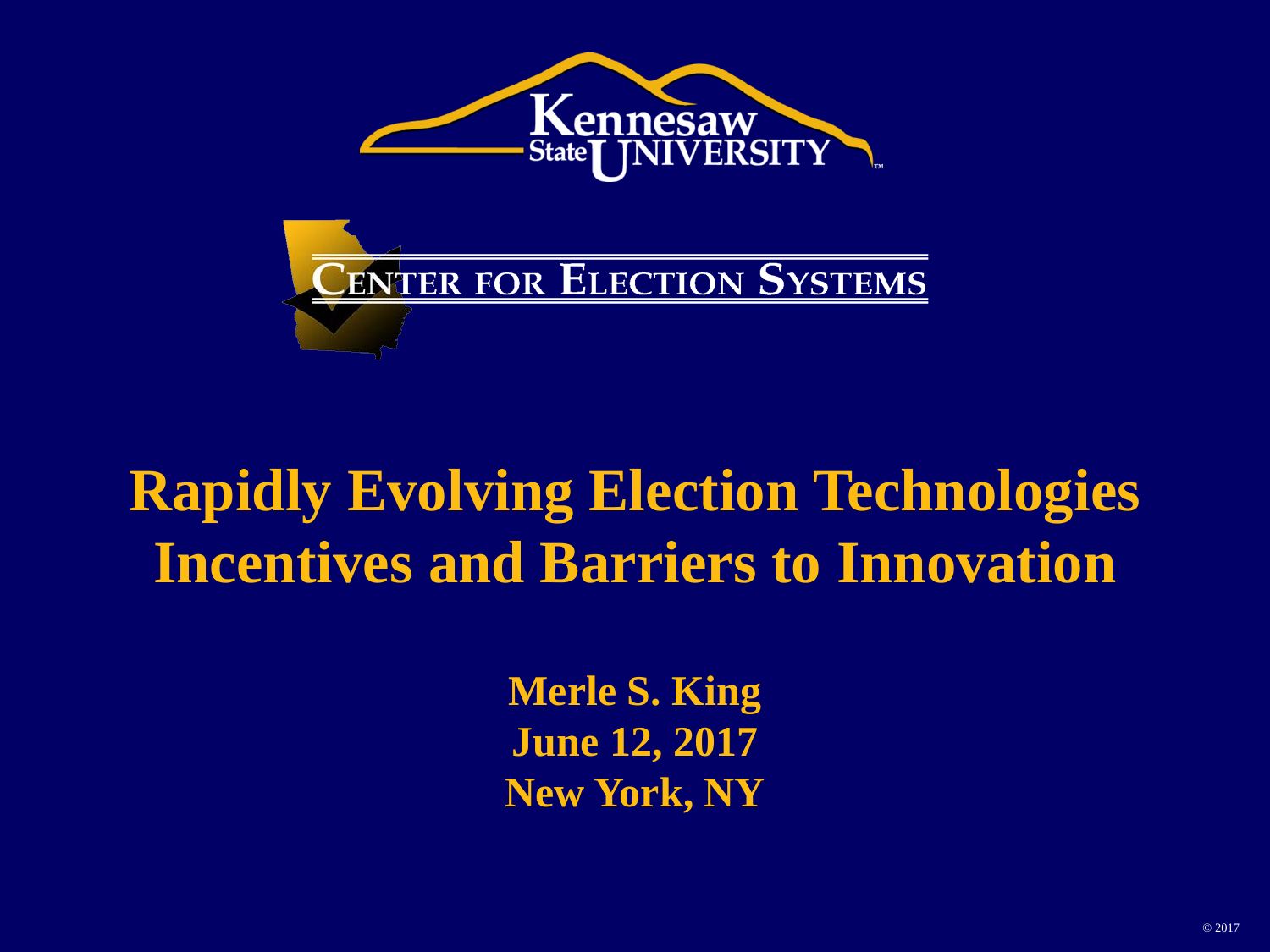



#### **Rapidly Evolving Election Technologies Incentives and Barriers to Innovation**

**Merle S. King June 12, 2017 New York, NY**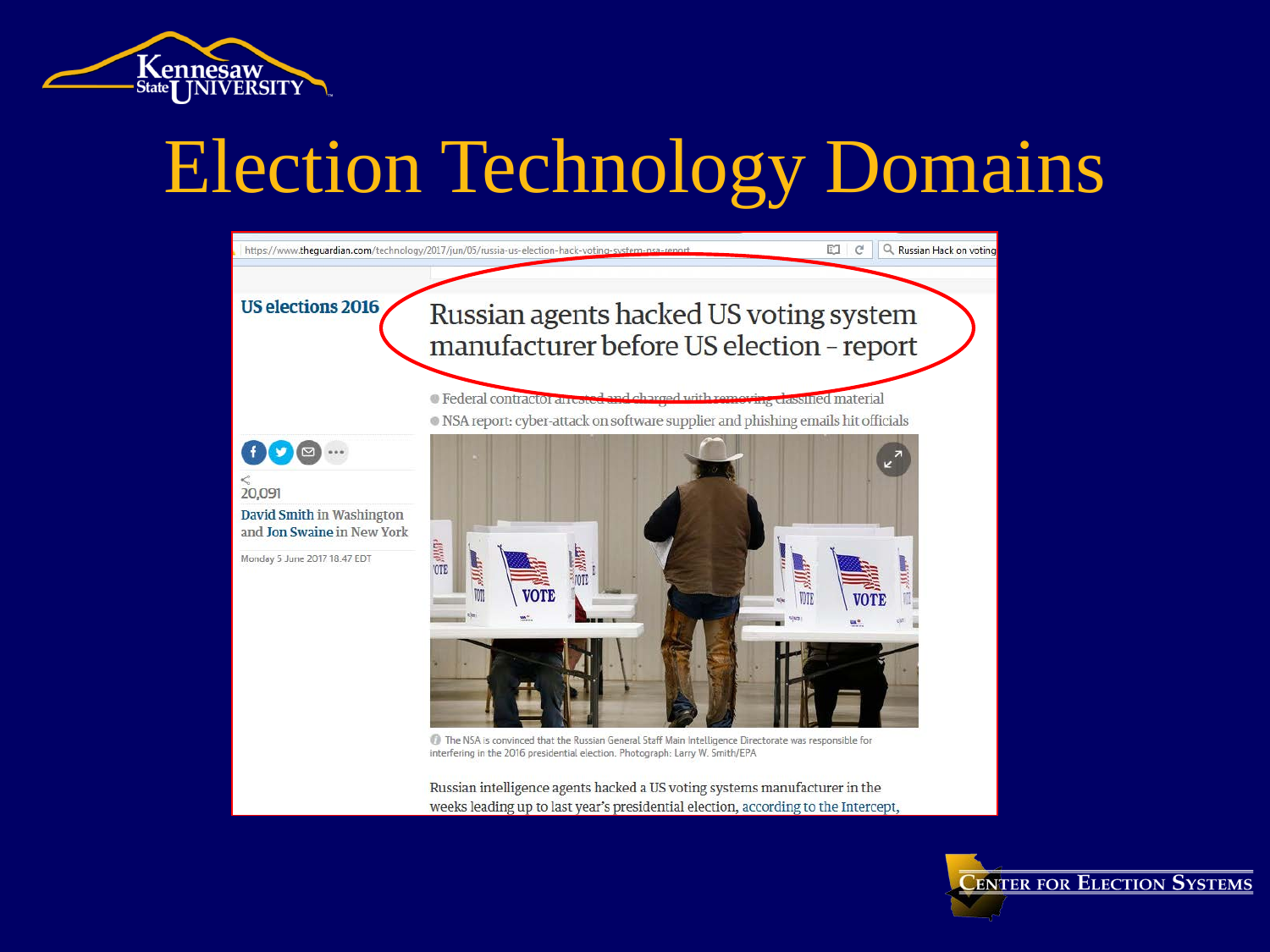



Russian intelligence agents hacked a US voting systems manufacturer in the weeks leading up to last year's presidential election, according to the Intercept,

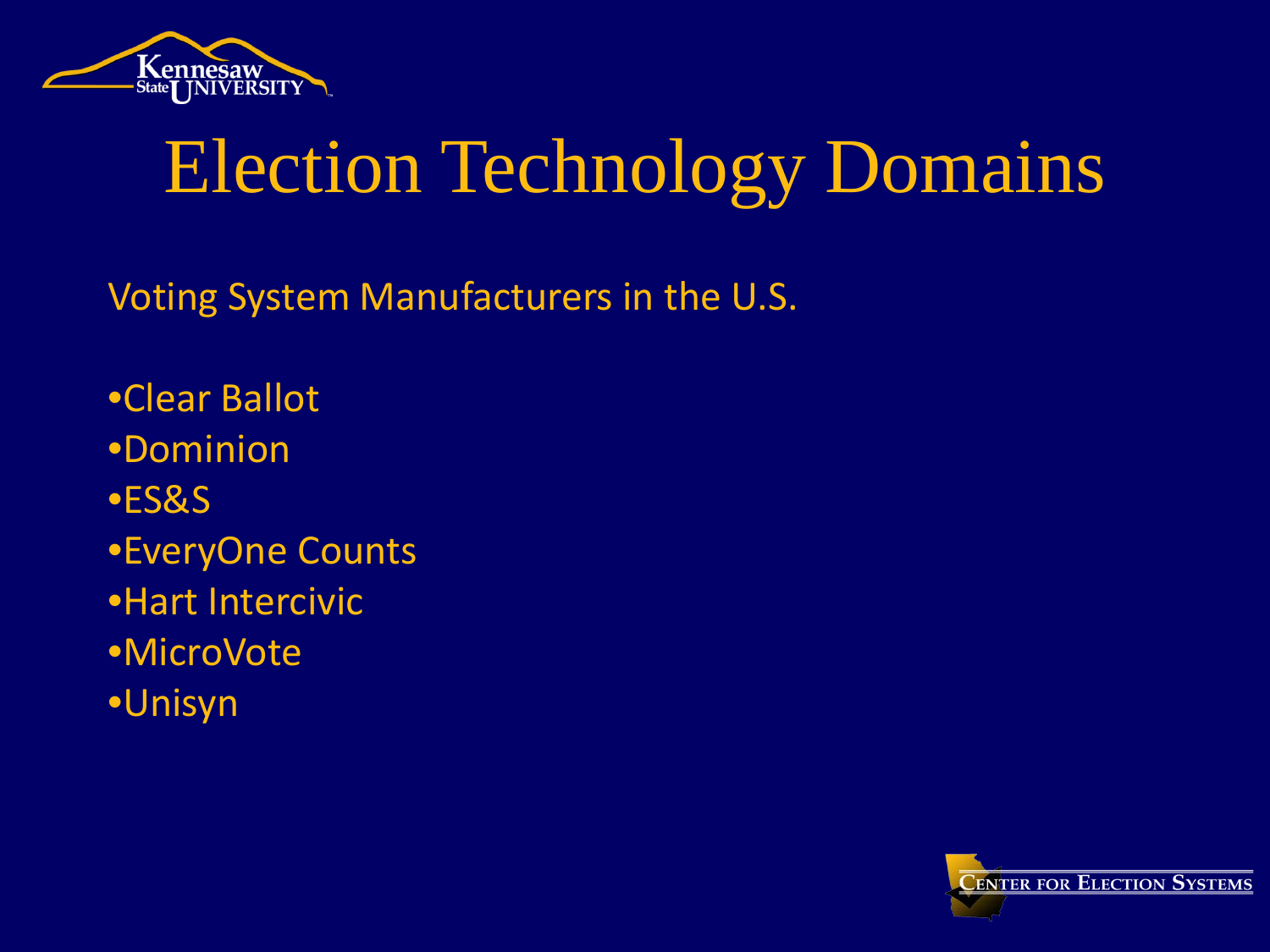

Voting System Manufacturers in the U.S.

•Clear Ballot •Dominion •ES&S •EveryOne Counts •Hart Intercivic •MicroVote •Unisyn

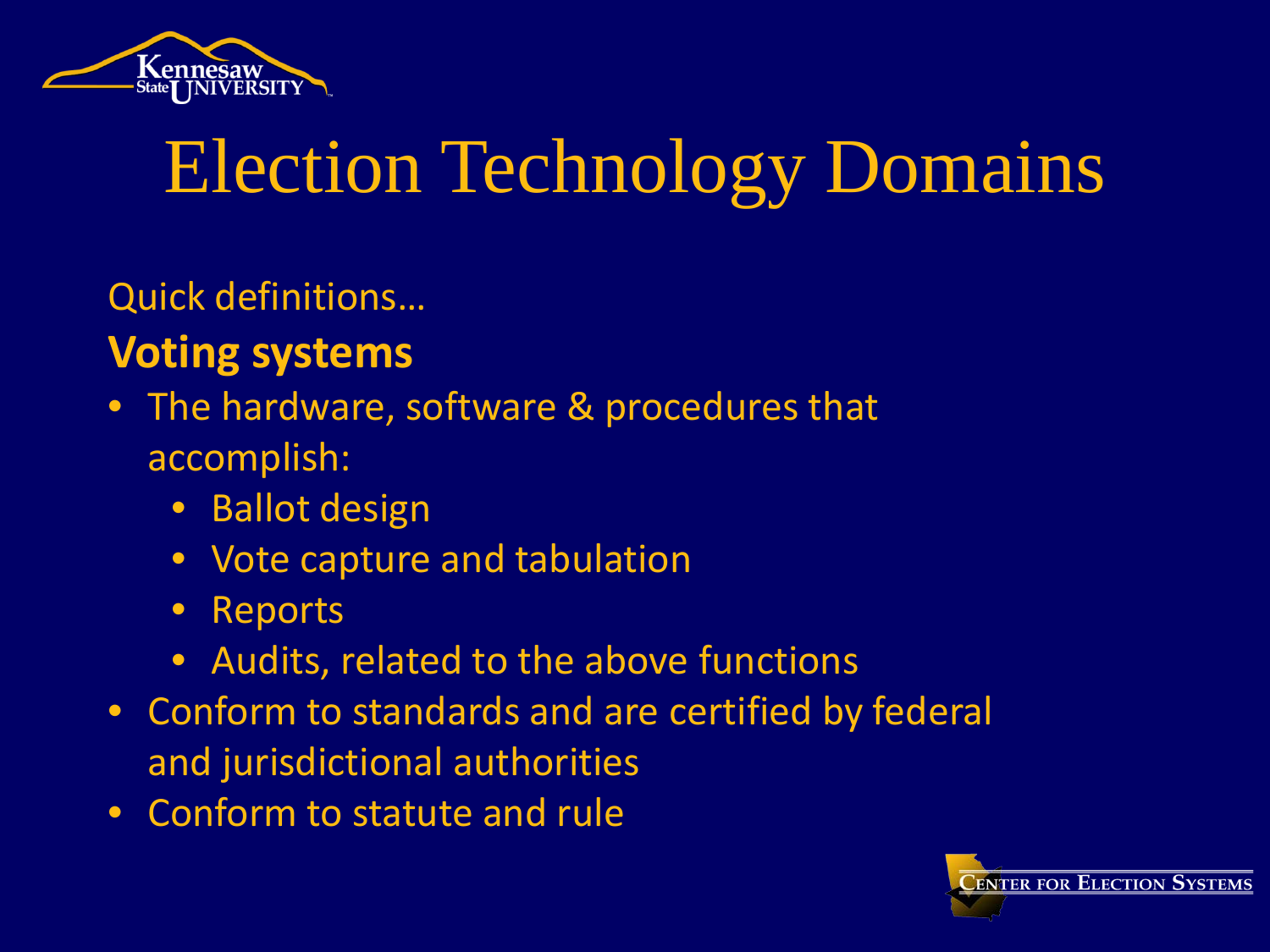

Quick definitions…

#### **Voting systems**

- The hardware, software & procedures that accomplish:
	- Ballot design
	- Vote capture and tabulation
	- Reports
	- Audits, related to the above functions
- Conform to standards and are certified by federal and jurisdictional authorities
- Conform to statute and rule

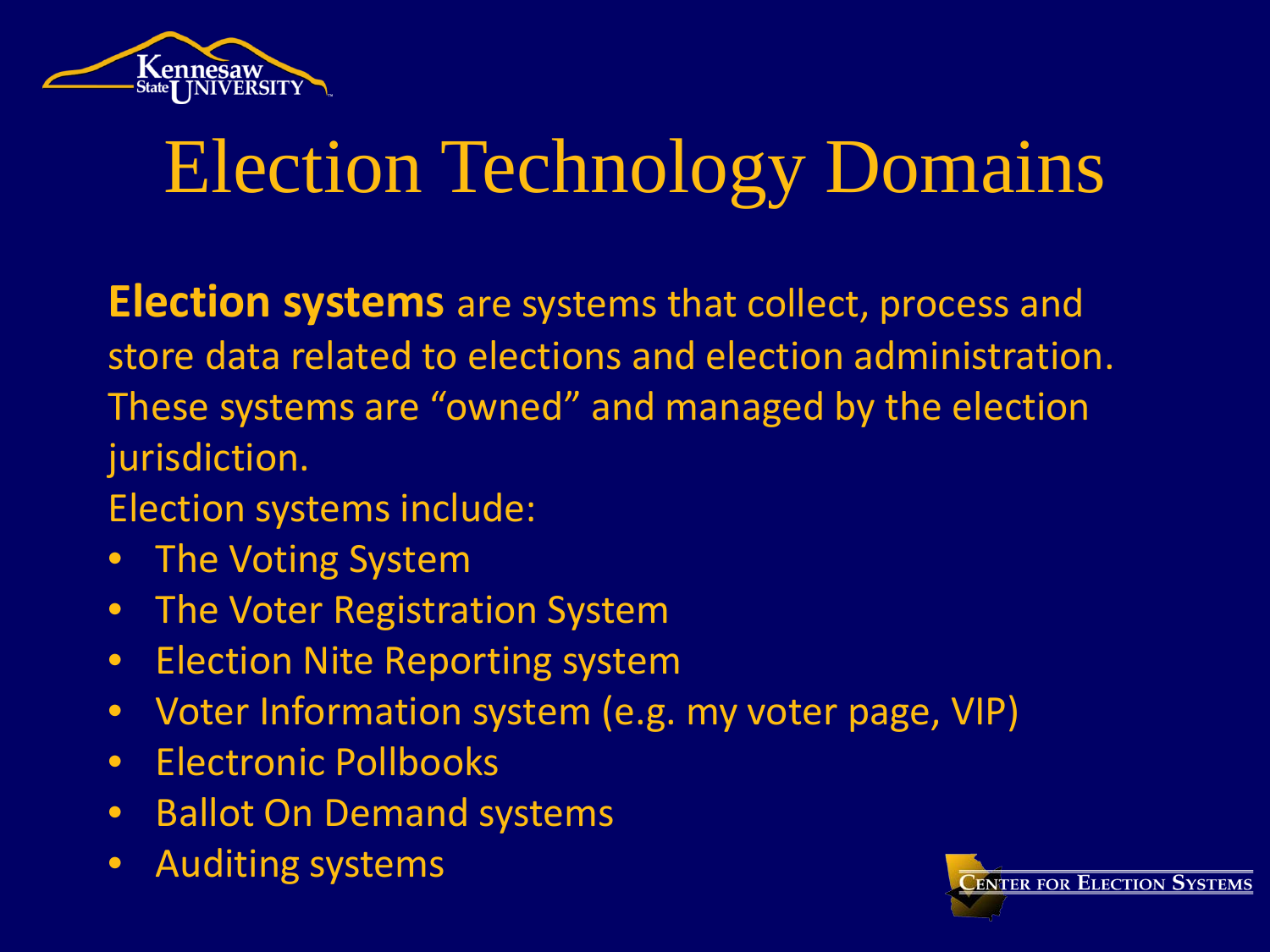

**Election systems** are systems that collect, process and store data related to elections and election administration. These systems are "owned" and managed by the election jurisdiction.

- Election systems include:
- The Voting System
- The Voter Registration System
- Election Nite Reporting system
- Voter Information system (e.g. my voter page, VIP)
- Electronic Pollbooks
- Ballot On Demand systems
- Auditing systems

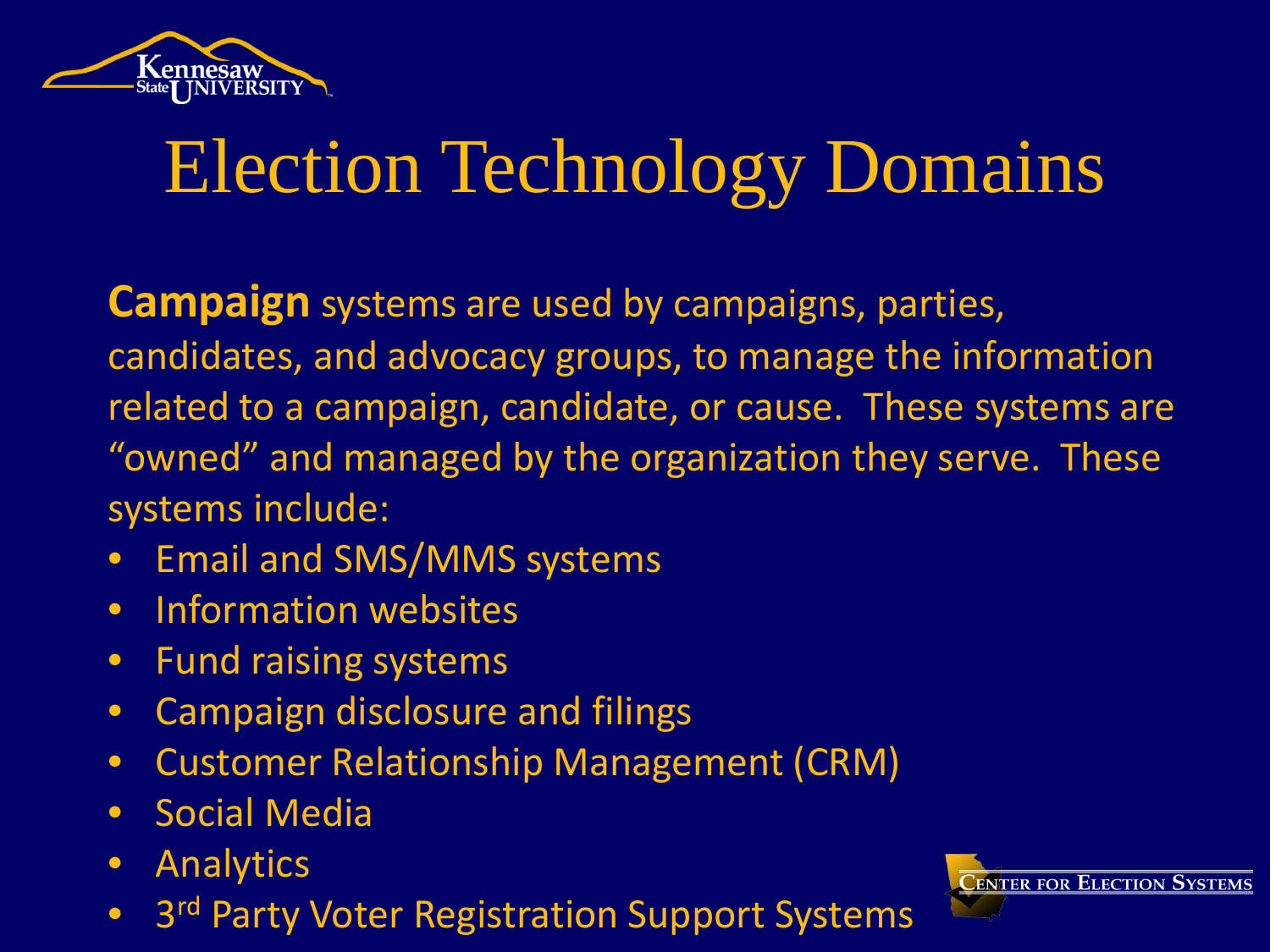

**Campaign** systems are used by campaigns, parties, candidates, and advocacy groups, to manage the information related to a campaign, candidate, or cause. These systems are "owned" and managed by the organization they serve. These systems include:

- Email and SMS/MMS systems
- Information websites
- Fund raising systems
- Campaign disclosure and filings
- Customer Relationship Management (CRM)
- Social Media
- Analytics
- 3<sup>rd</sup> Party Voter Registration Support Systems

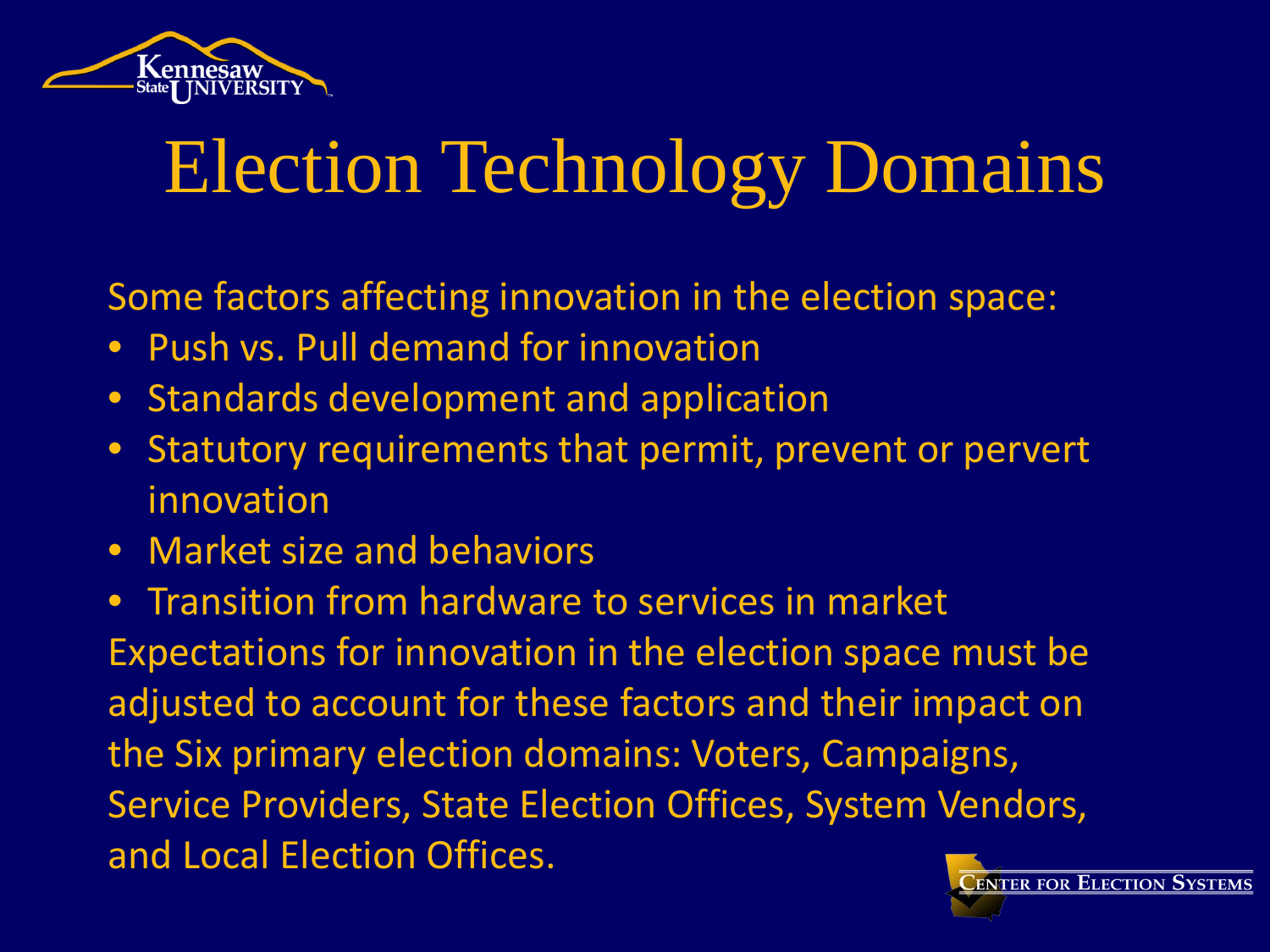

Some factors affecting innovation in the election space:

- Push vs. Pull demand for innovation
- Standards development and application
- Statutory requirements that permit, prevent or pervert innovation
- Market size and behaviors

• Transition from hardware to services in market Expectations for innovation in the election space must be adjusted to account for these factors and their impact on the Six primary election domains: Voters, Campaigns, Service Providers, State Election Offices, System Vendors, and Local Election Offices.

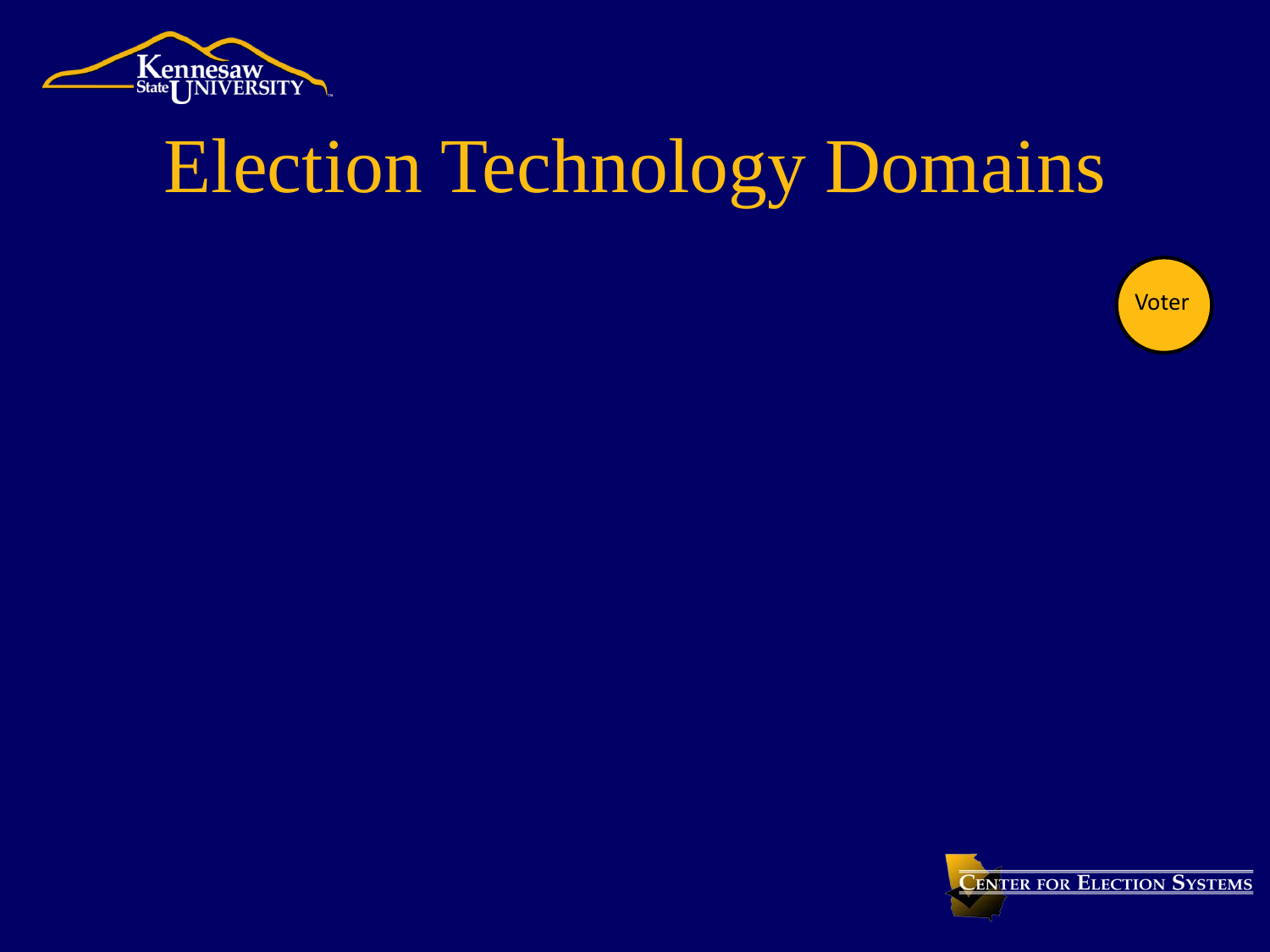



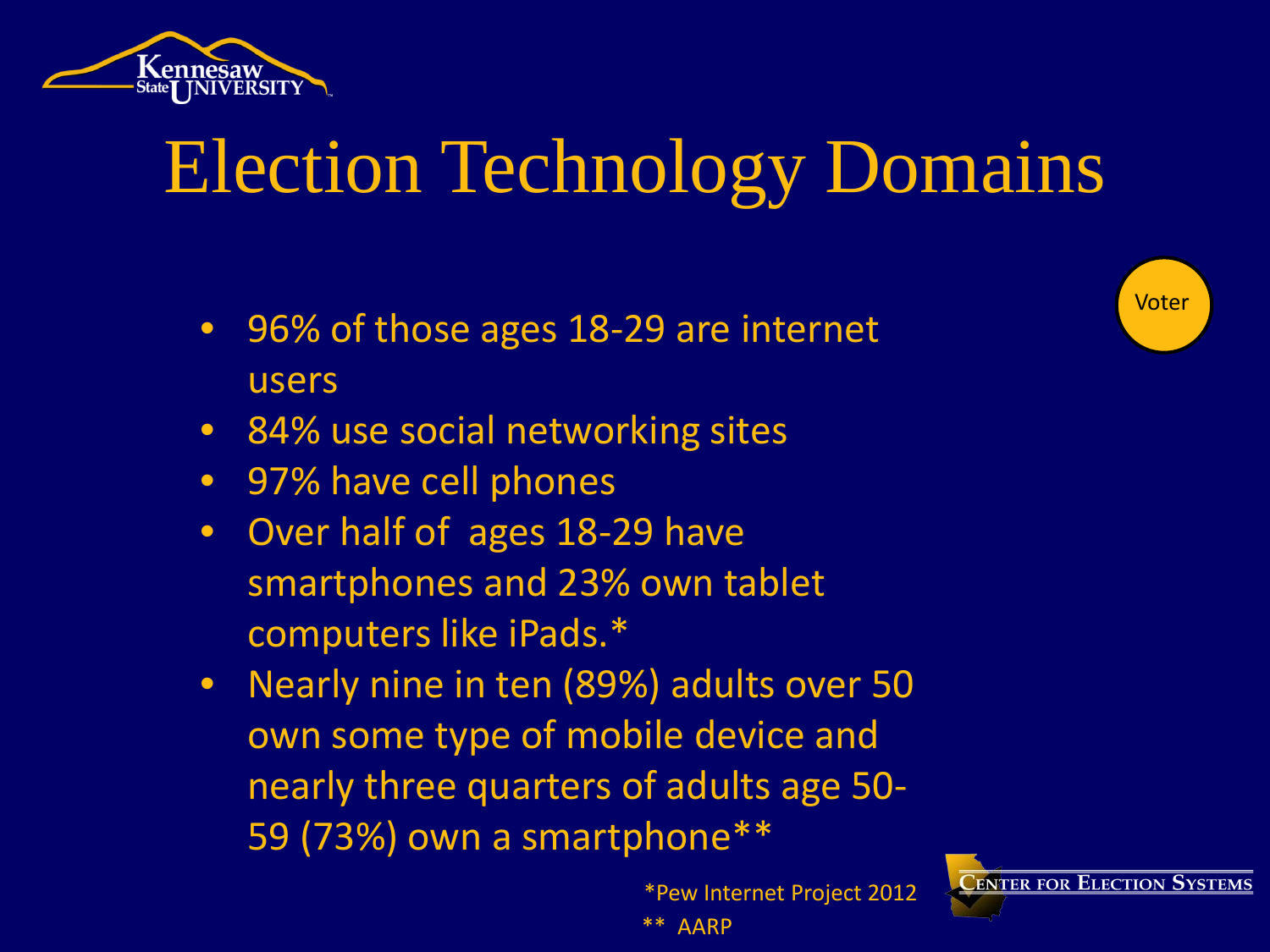

- 96% of those ages 18-29 are internet users
- 84% use social networking sites
- 97% have cell phones
- Over half of ages 18-29 have smartphones and 23% own tablet computers like iPads.\*
- Nearly nine in ten (89%) adults over 50 own some type of mobile device and nearly three quarters of adults age 50- 59 (73%) own a smartphone\*\*

 \*Pew Internet Project 2012 \*\* AARP



Voter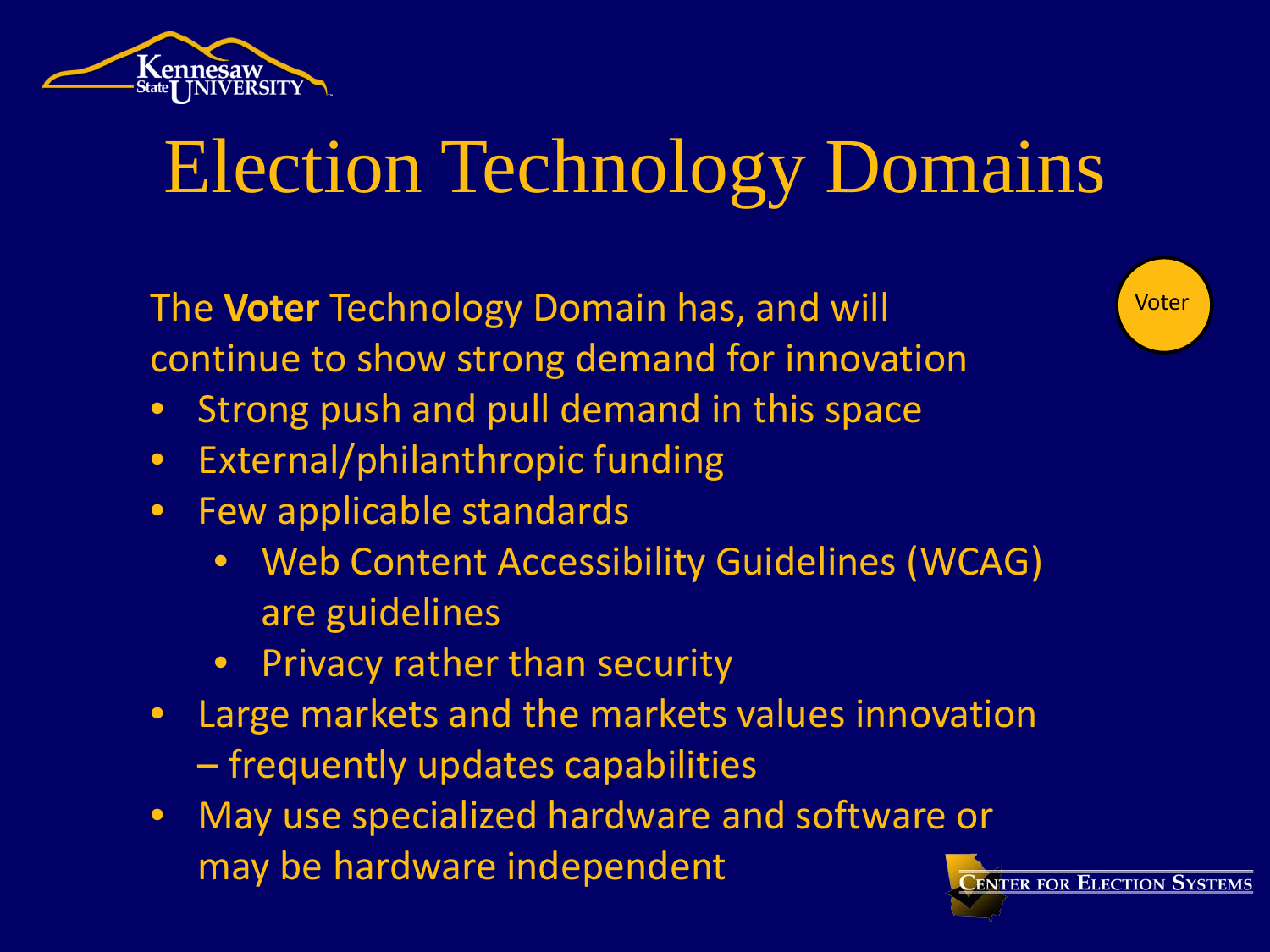

Voter The **Voter** Technology Domain has, and will continue to show strong demand for innovation

- Strong push and pull demand in this space
- External/philanthropic funding
- Few applicable standards
	- Web Content Accessibility Guidelines (WCAG) are guidelines
	- **Privacy rather than security**
- Large markets and the markets values innovation – frequently updates capabilities
- May use specialized hardware and software or may be hardware independent**LENTER FOR ELECTION SYSTEMS**

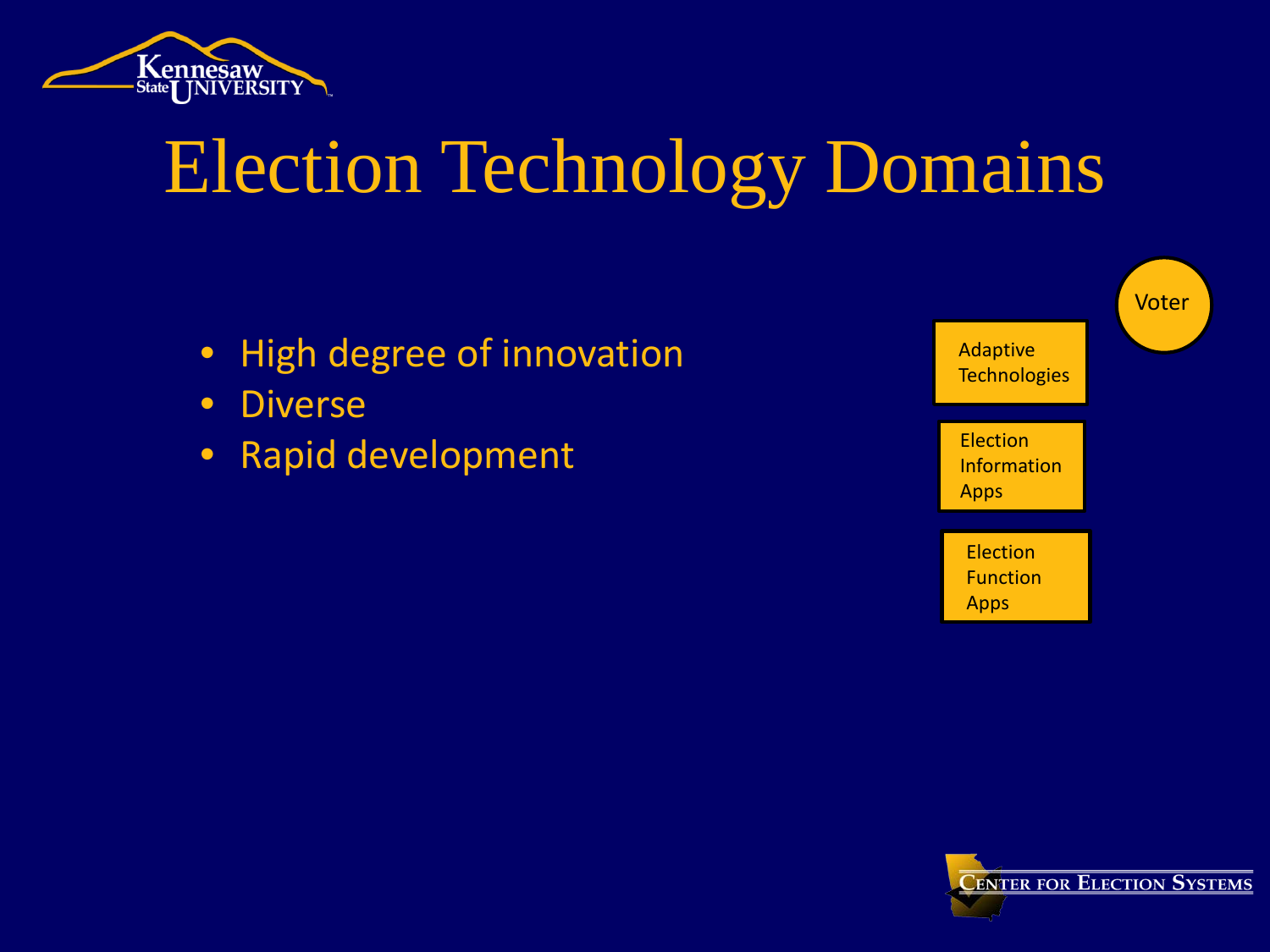

- High degree of innovation
- Diverse
- Rapid development



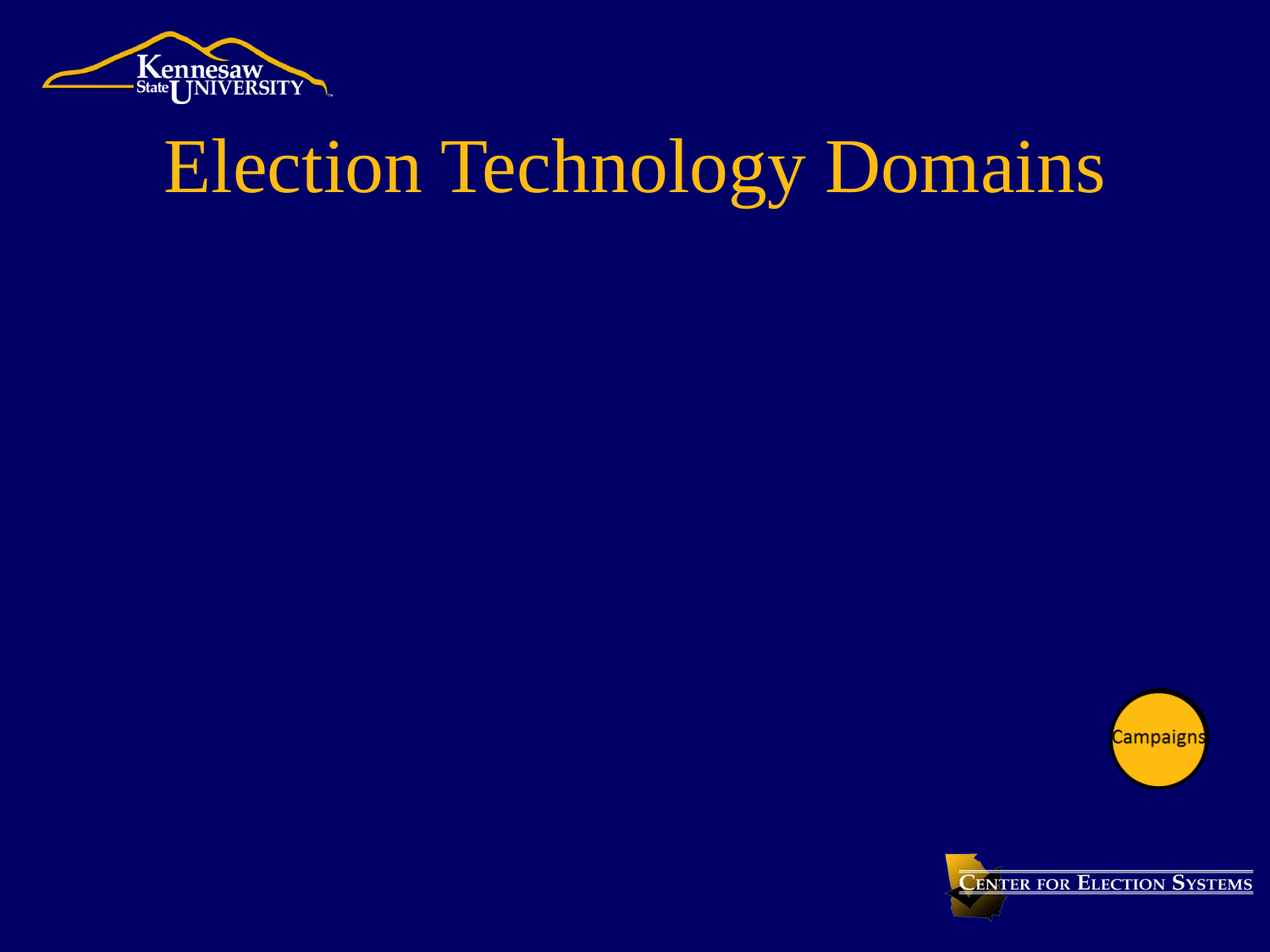



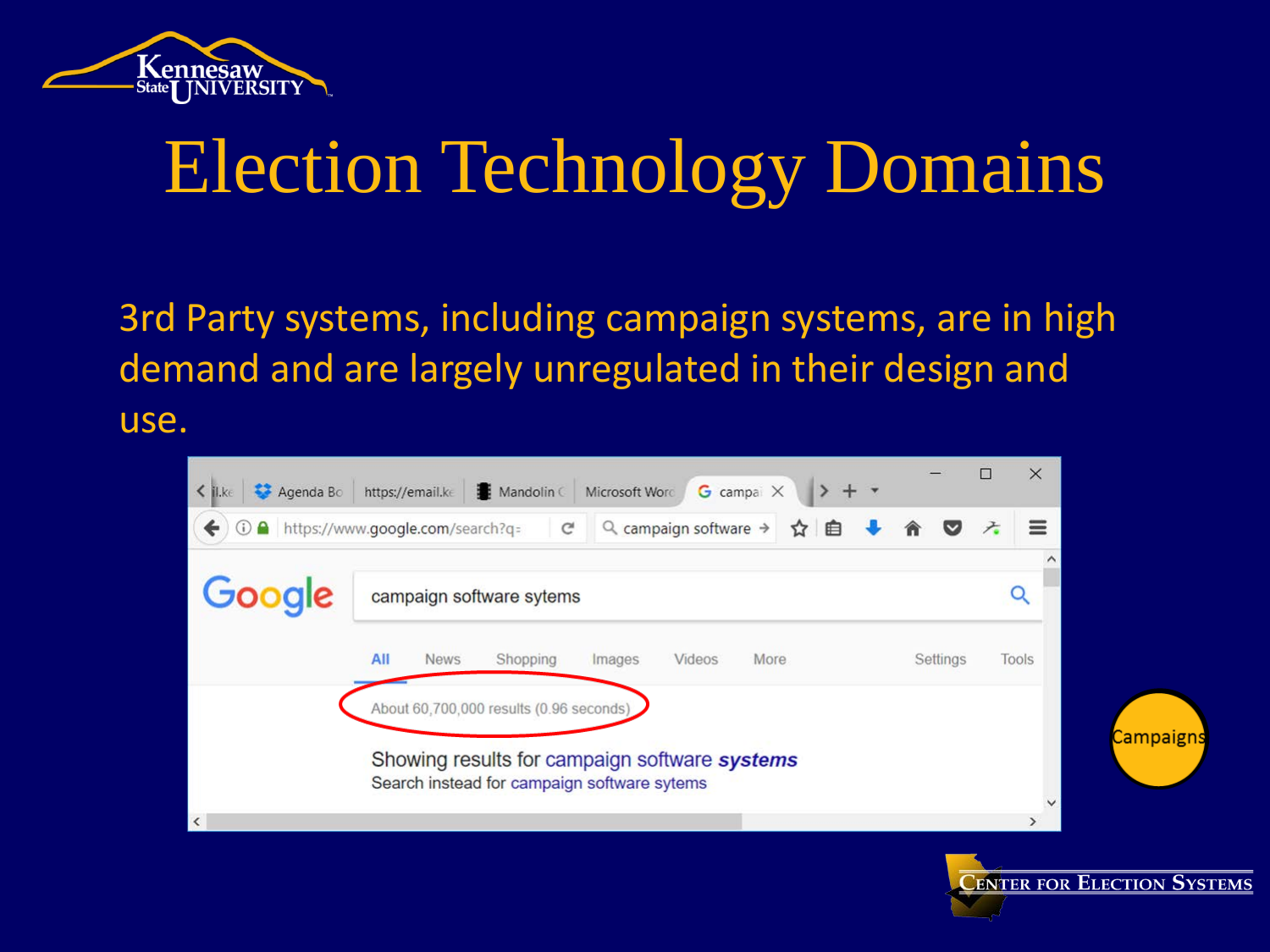

3rd Party systems, including campaign systems, are in high demand and are largely unregulated in their design and use.



**CENTER FOR ELECTION SYSTEMS**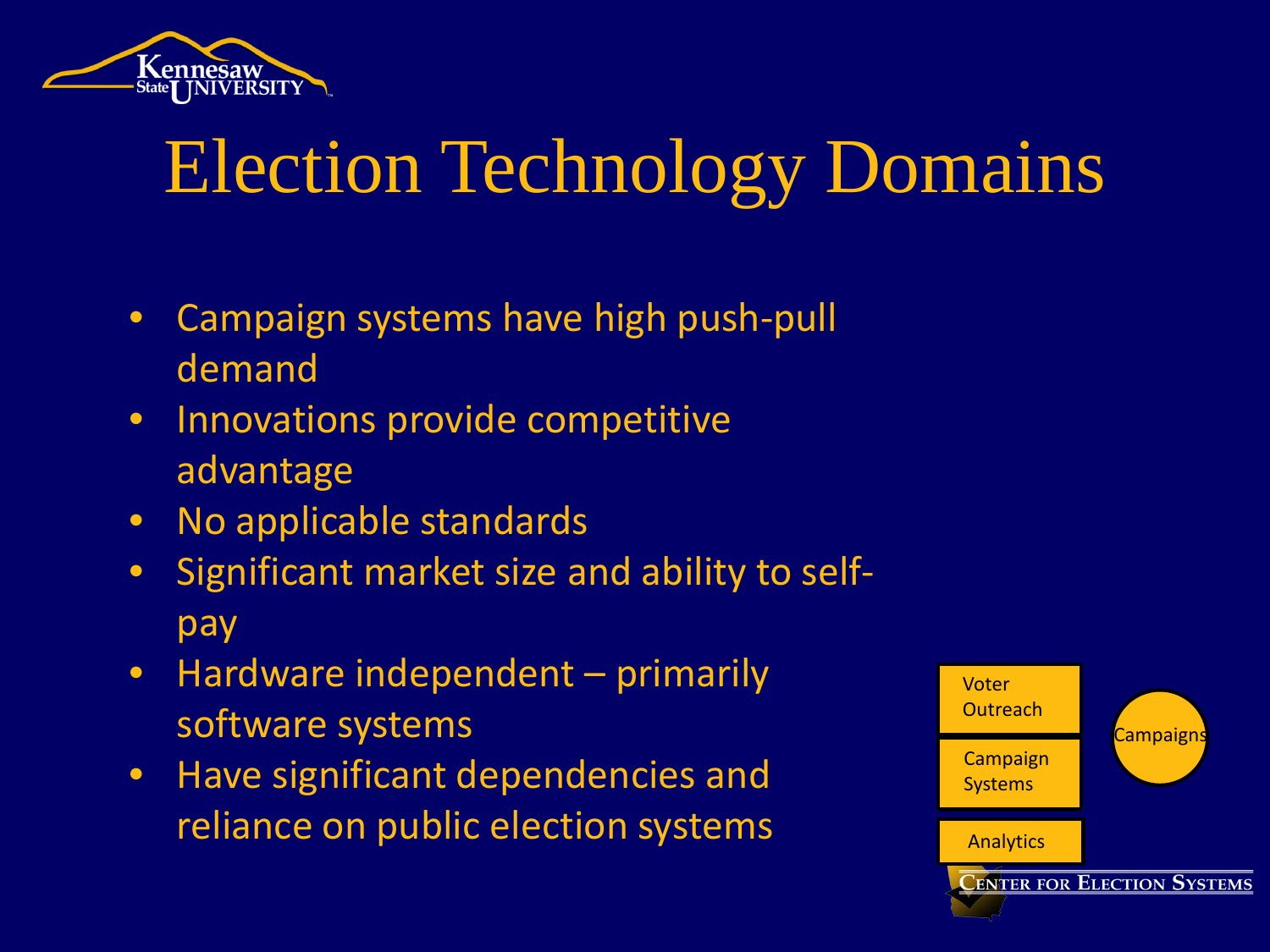

- Campaign systems have high push-pull demand
- Innovations provide competitive advantage
- No applicable standards
- Significant market size and ability to selfpay
- Hardware independent primarily software systems
- Have significant dependencies and reliance on public election systems

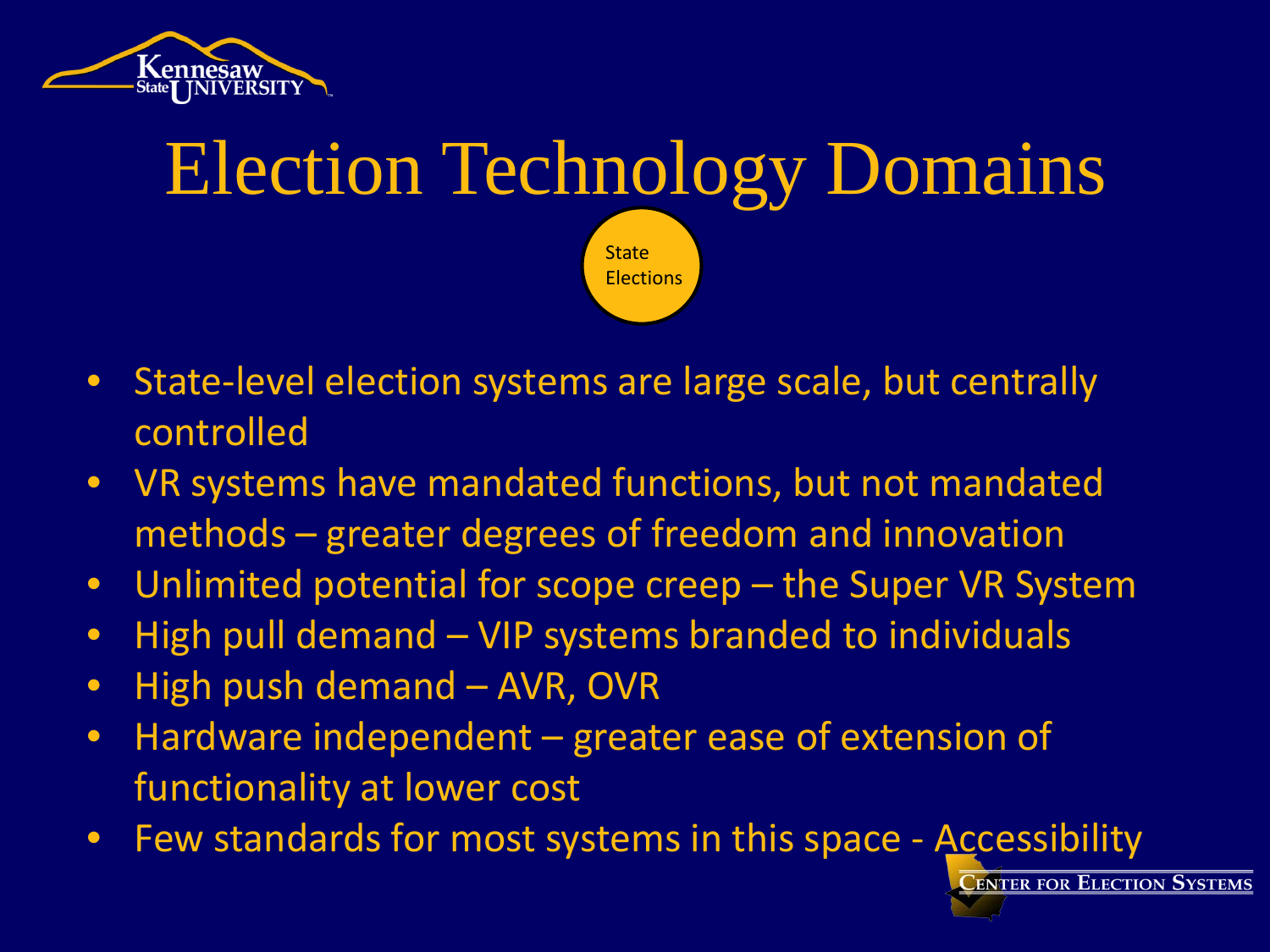



- State-level election systems are large scale, but centrally controlled
- VR systems have mandated functions, but not mandated methods – greater degrees of freedom and innovation
- Unlimited potential for scope creep the Super VR System
- High pull demand VIP systems branded to individuals
- High push demand AVR, OVR
- Hardware independent greater ease of extension of functionality at lower cost
- Few standards for most systems in this space Accessibility

**LENTER FOR ELECTION SYSTEMS**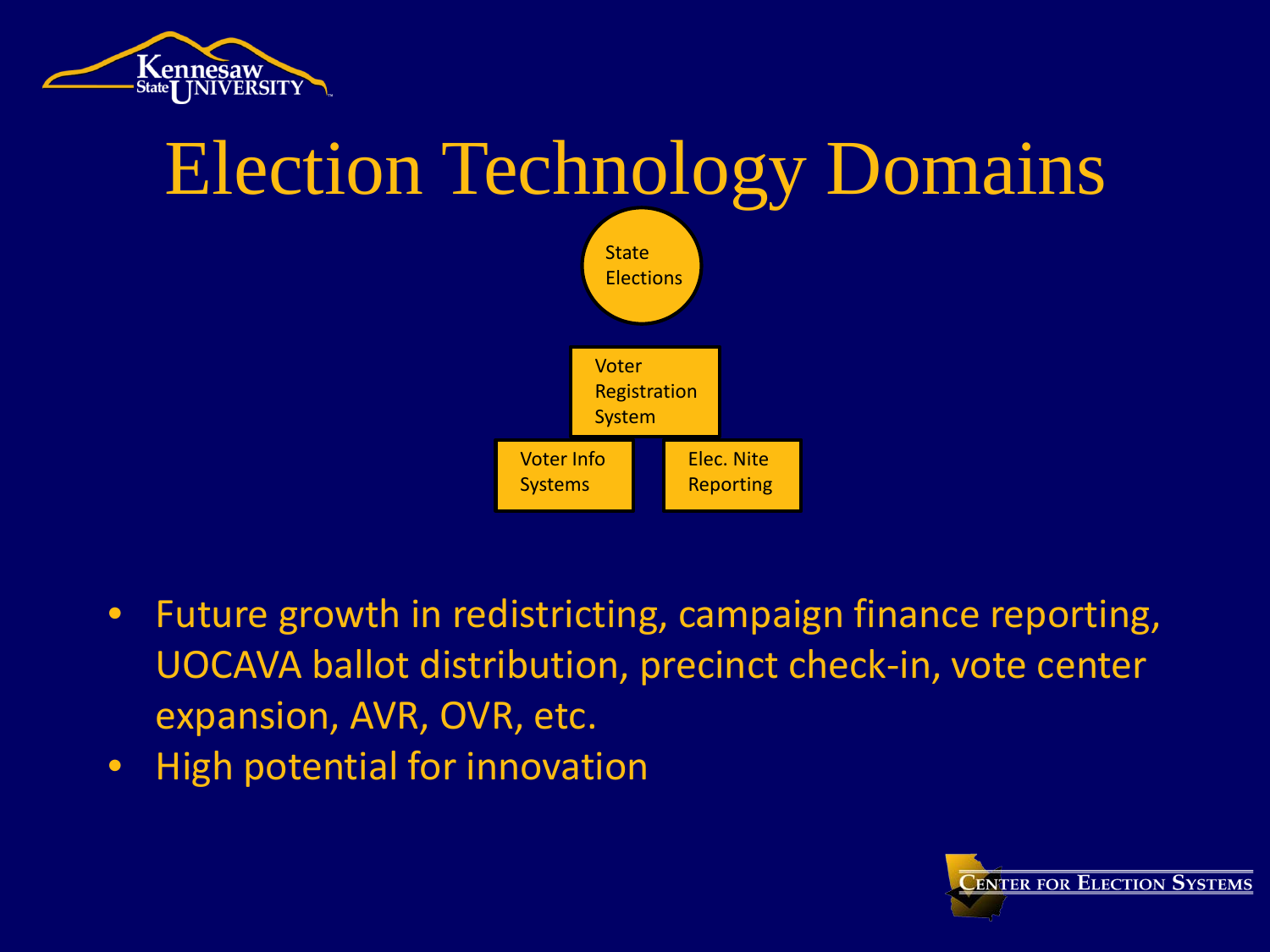



- Future growth in redistricting, campaign finance reporting, UOCAVA ballot distribution, precinct check-in, vote center expansion, AVR, OVR, etc.
- High potential for innovation

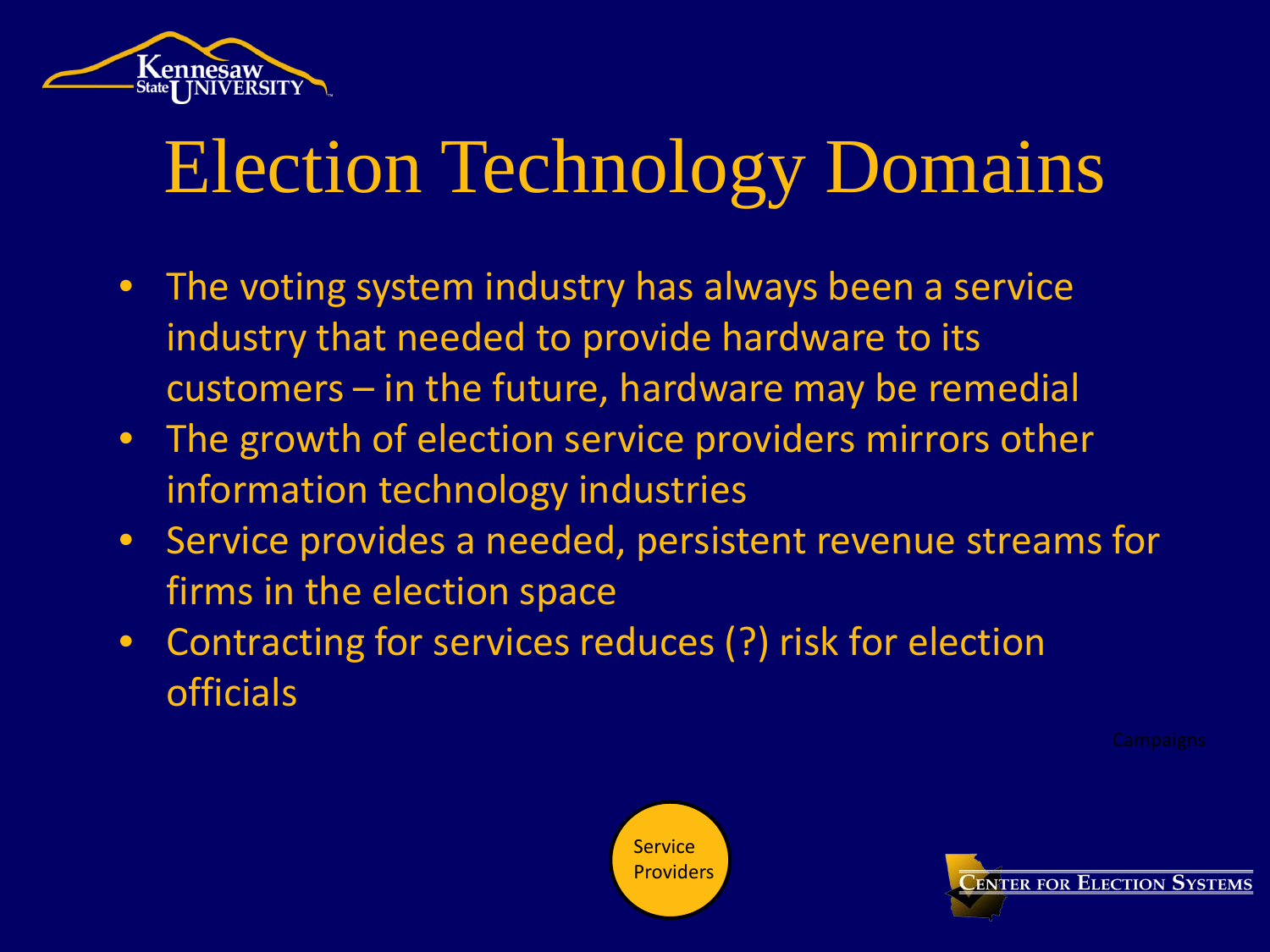

- The voting system industry has always been a service industry that needed to provide hardware to its customers – in the future, hardware may be remedial
- The growth of election service providers mirrors other information technology industries
- Service provides a needed, persistent revenue streams for firms in the election space
- Contracting for services reduces (?) risk for election officials



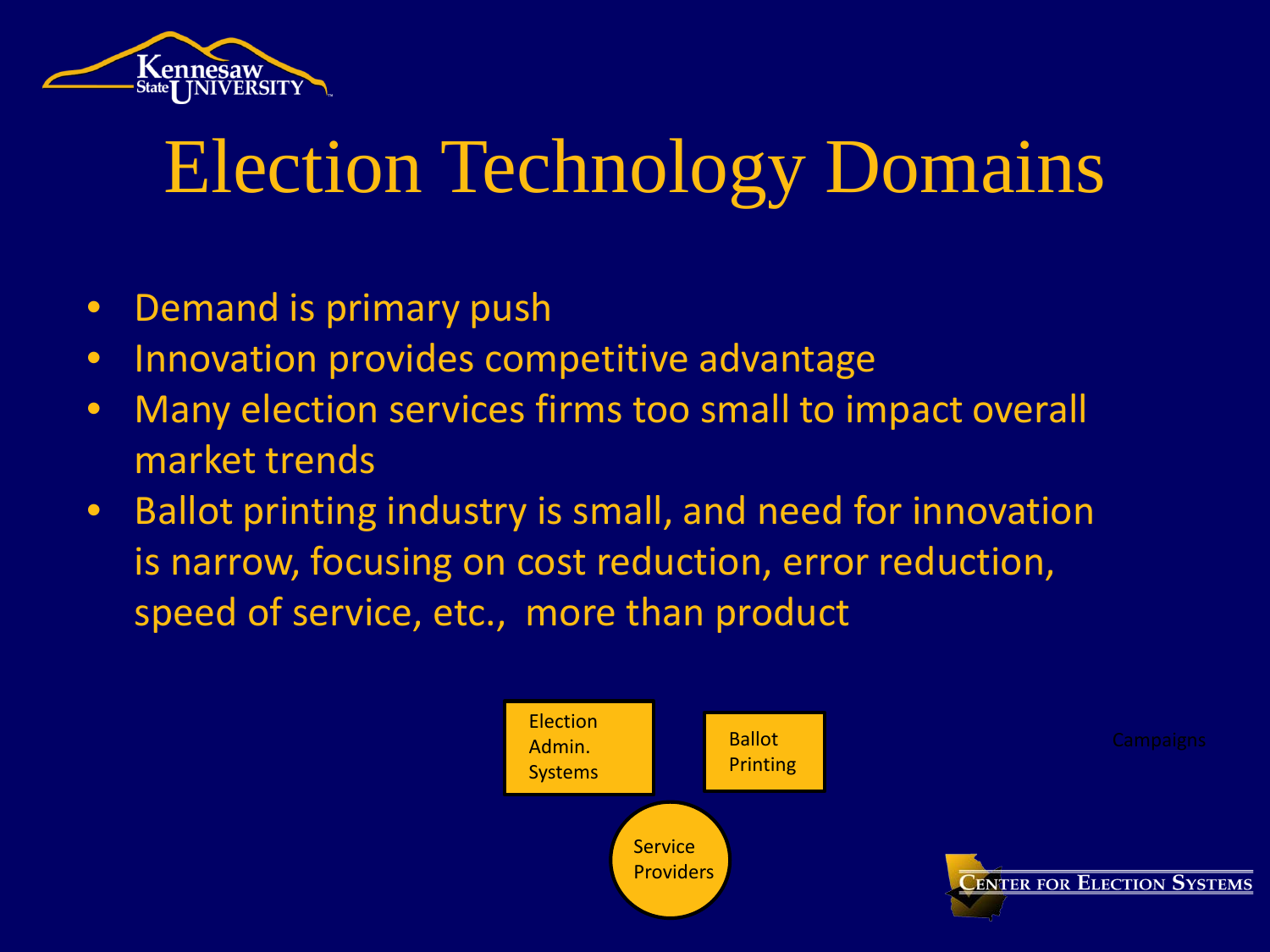

- Demand is primary push
- Innovation provides competitive advantage
- Many election services firms too small to impact overall market trends
- Ballot printing industry is small, and need for innovation is narrow, focusing on cost reduction, error reduction, speed of service, etc., more than product

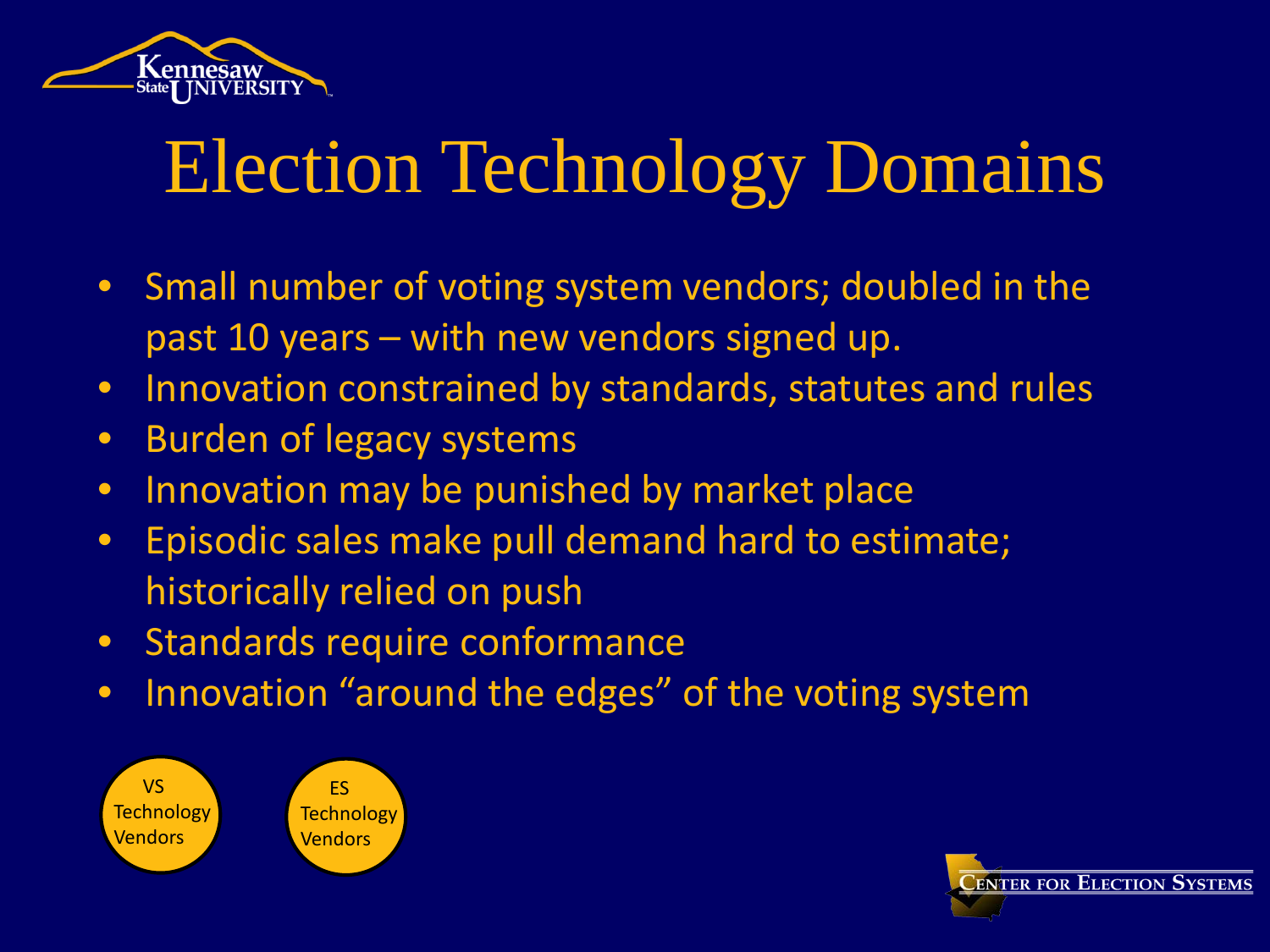

- Small number of voting system vendors; doubled in the past 10 years – with new vendors signed up.
- Innovation constrained by standards, statutes and rules
- Burden of legacy systems
- Innovation may be punished by market place
- Episodic sales make pull demand hard to estimate; historically relied on push
- Standards require conformance
- Innovation "around the edges" of the voting system





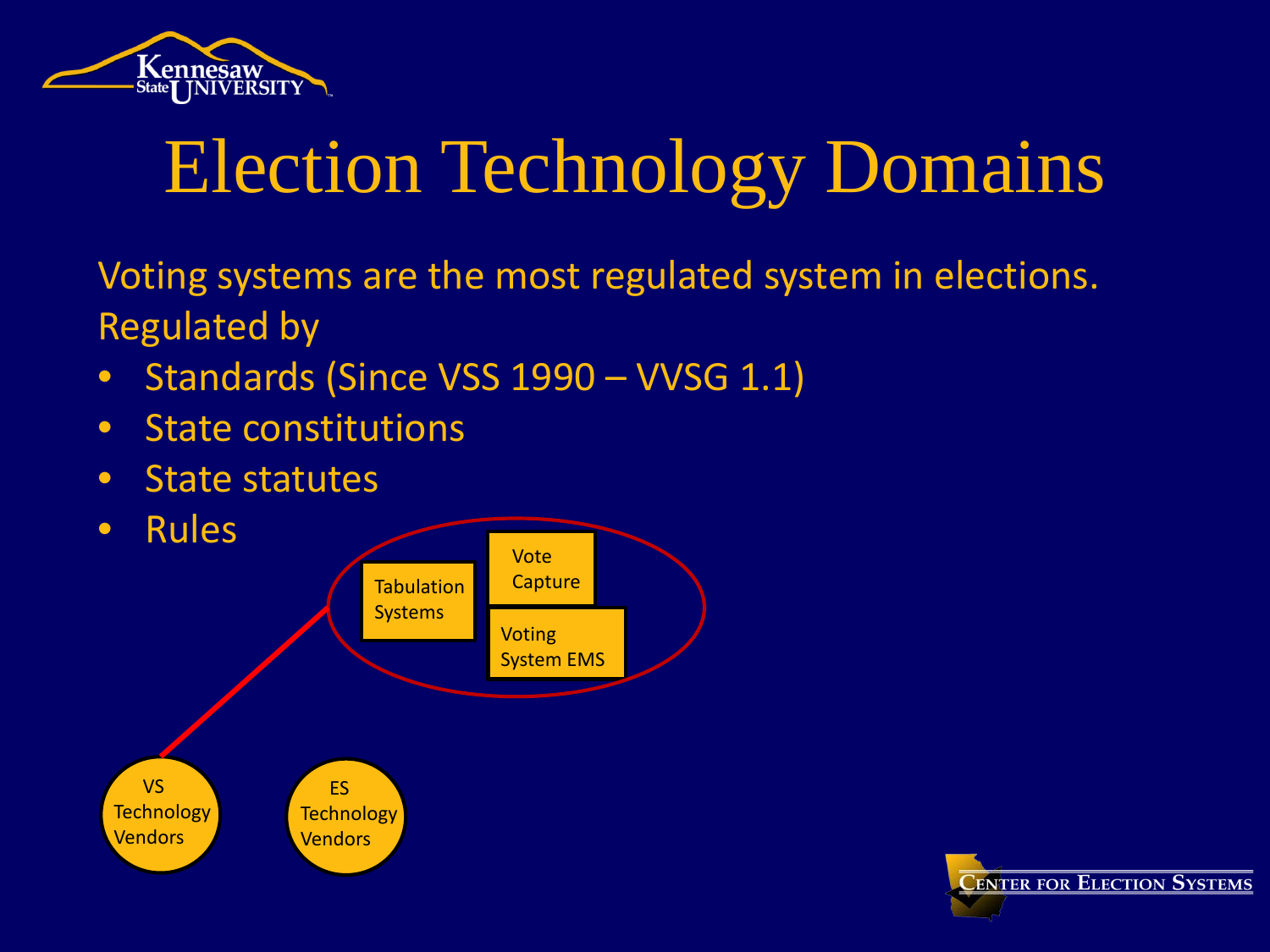

Voting systems are the most regulated system in elections. Regulated by

- Standards (Since VSS 1990 VVSG 1.1)
- State constitutions
- State statutes



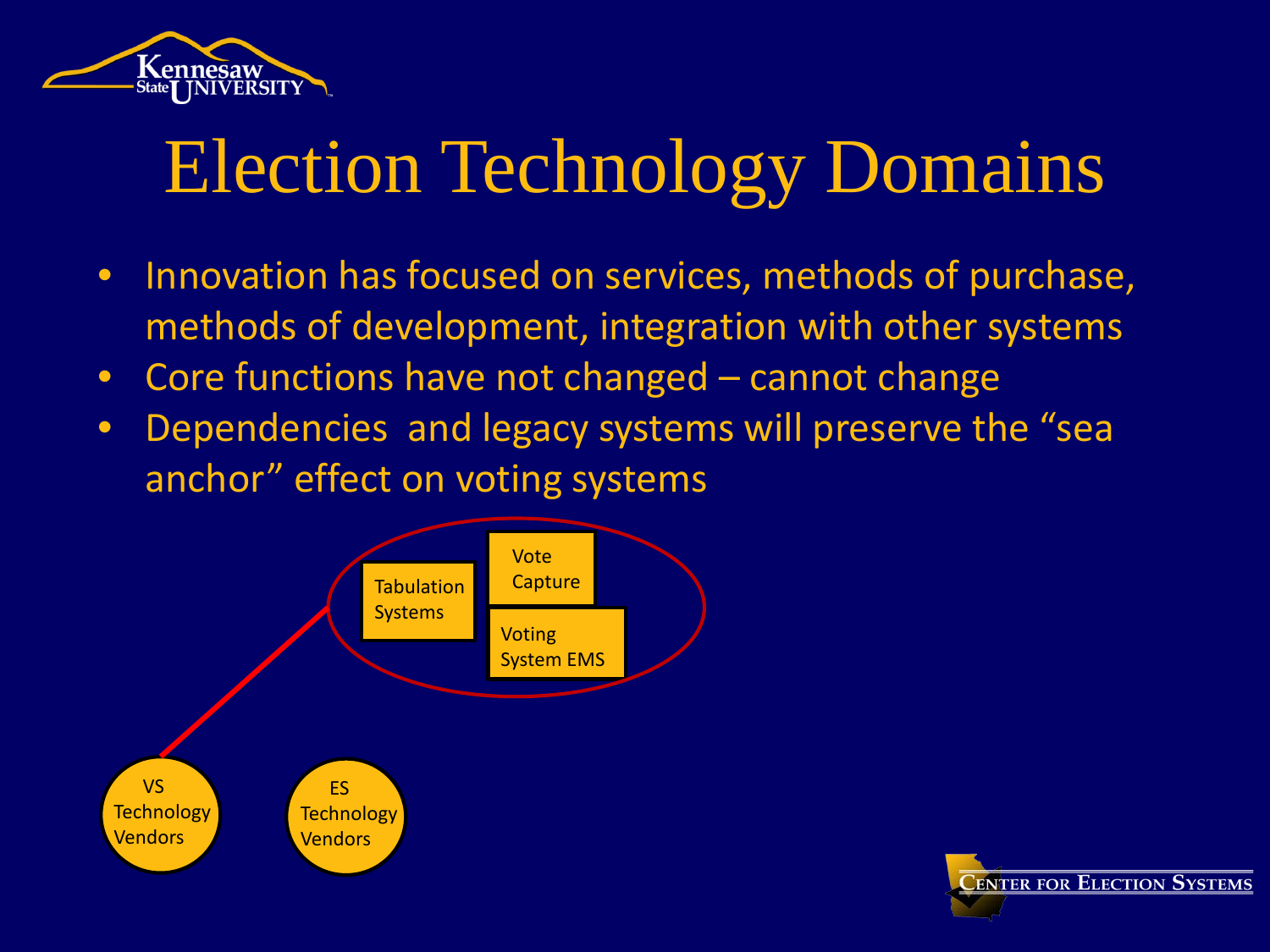

- Innovation has focused on services, methods of purchase, methods of development, integration with other systems
- Core functions have not changed cannot change
- Dependencies and legacy systems will preserve the "sea anchor" effect on voting systems



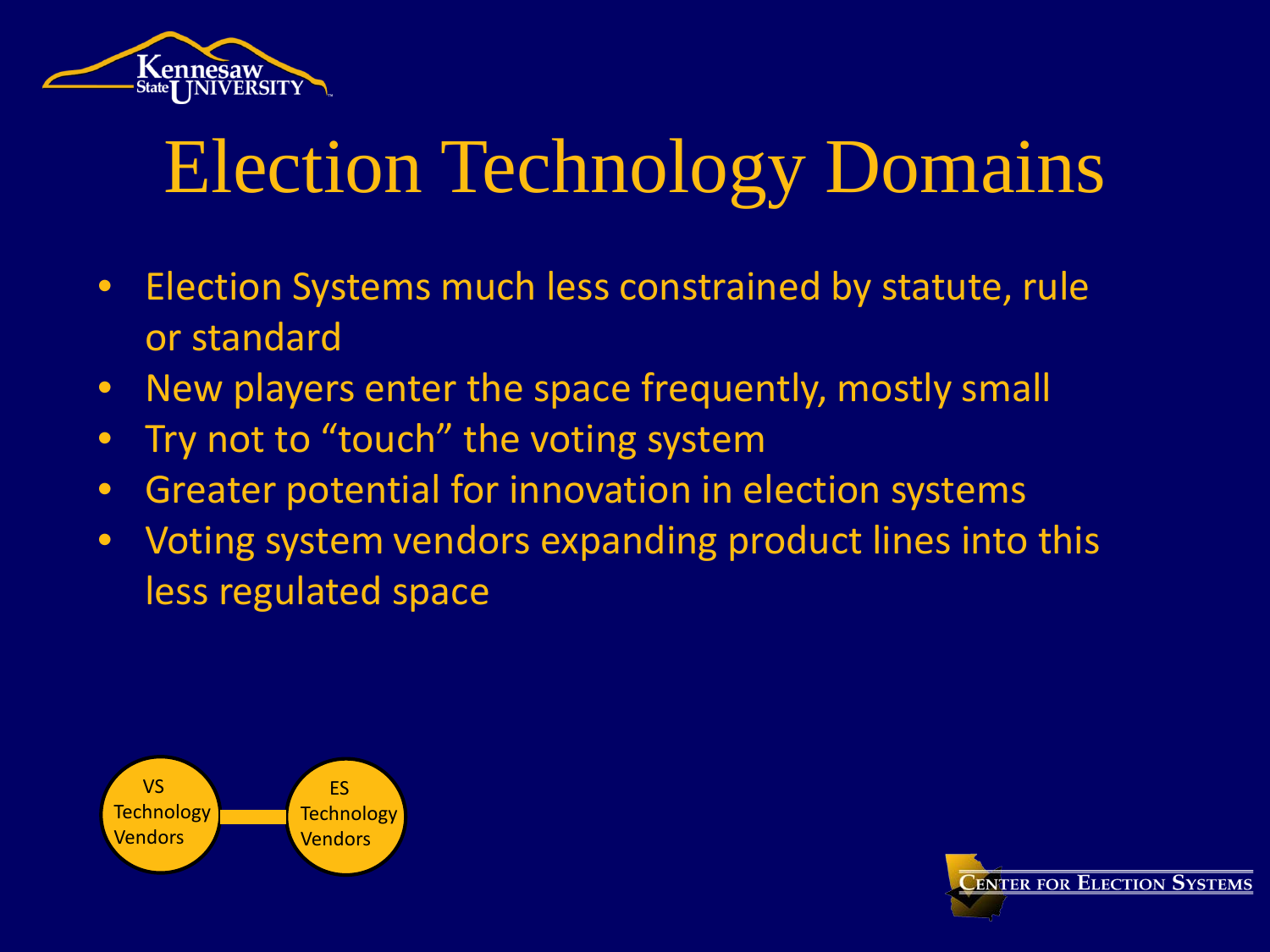

- Election Systems much less constrained by statute, rule or standard
- New players enter the space frequently, mostly small
- Try not to "touch" the voting system
- Greater potential for innovation in election systems
- Voting system vendors expanding product lines into this less regulated space



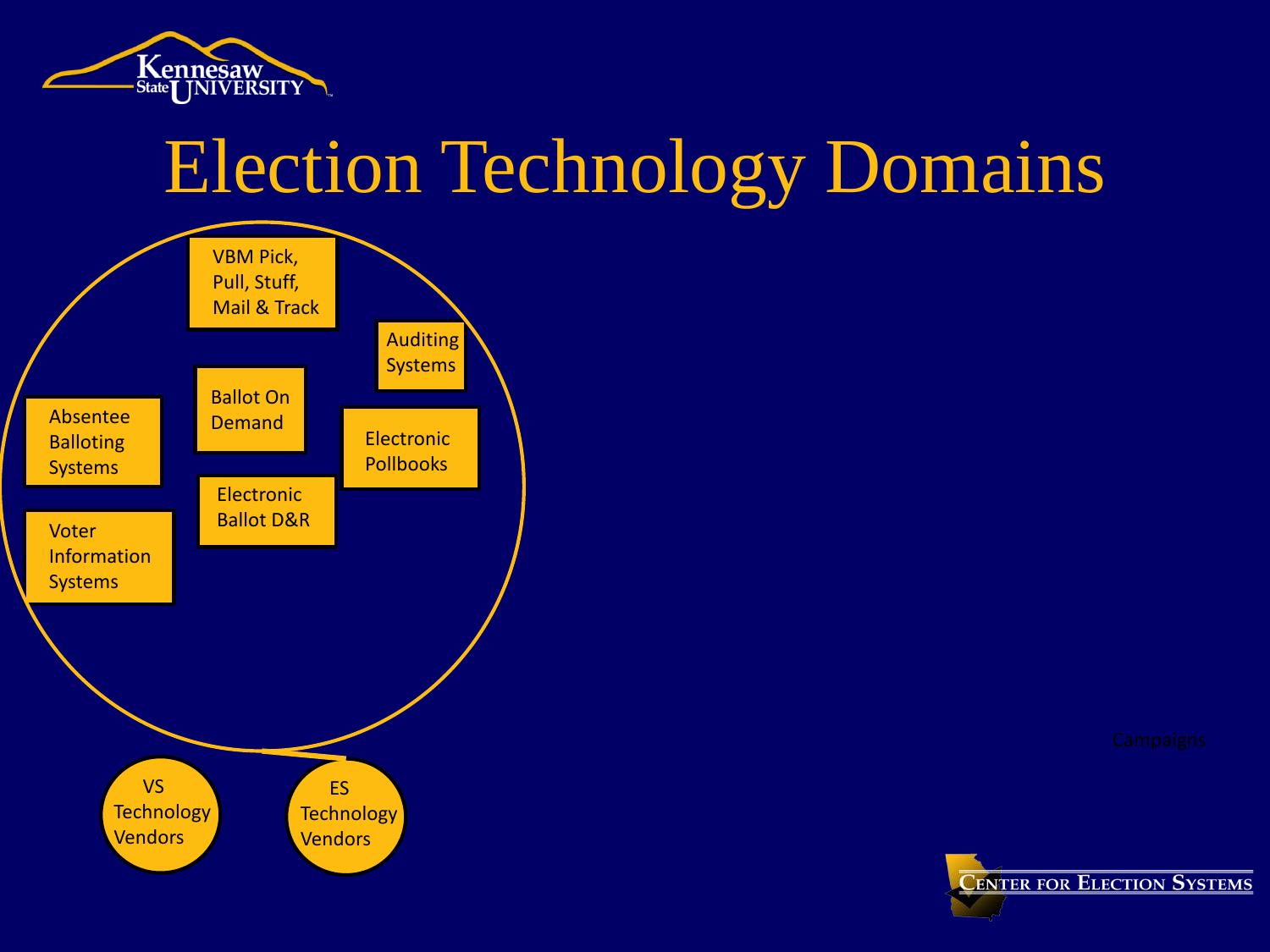



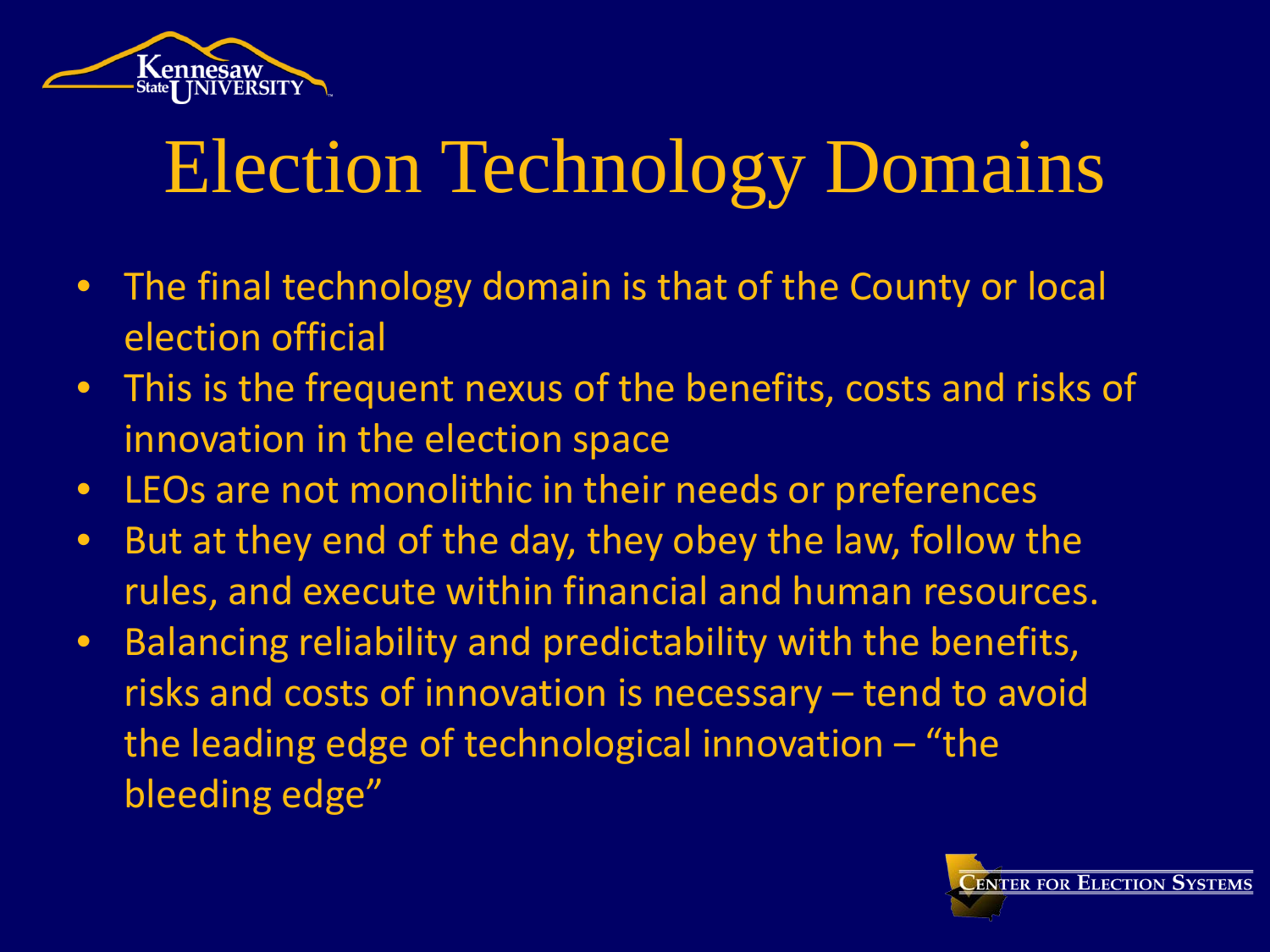

- The final technology domain is that of the County or local election official
- This is the frequent nexus of the benefits, costs and risks of innovation in the election space
- LEOs are not monolithic in their needs or preferences
- But at they end of the day, they obey the law, follow the rules, and execute within financial and human resources.
- Balancing reliability and predictability with the benefits, risks and costs of innovation is necessary – tend to avoid the leading edge of technological innovation – "the bleeding edge"

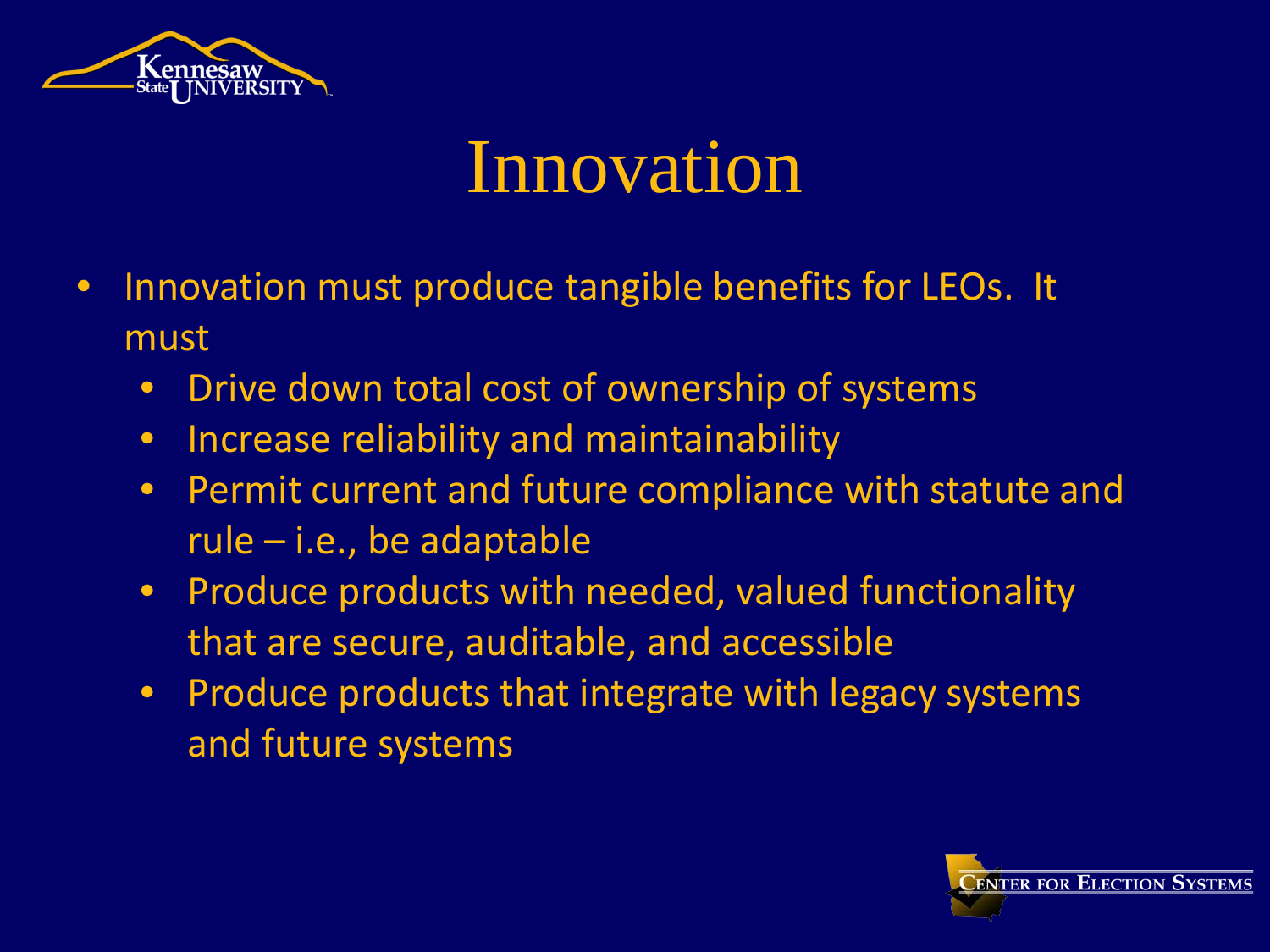

#### Innovation

- Innovation must produce tangible benefits for LEOs. It must
	- Drive down total cost of ownership of systems
	- Increase reliability and maintainability
	- Permit current and future compliance with statute and rule – i.e., be adaptable
	- Produce products with needed, valued functionality that are secure, auditable, and accessible
	- Produce products that integrate with legacy systems and future systems

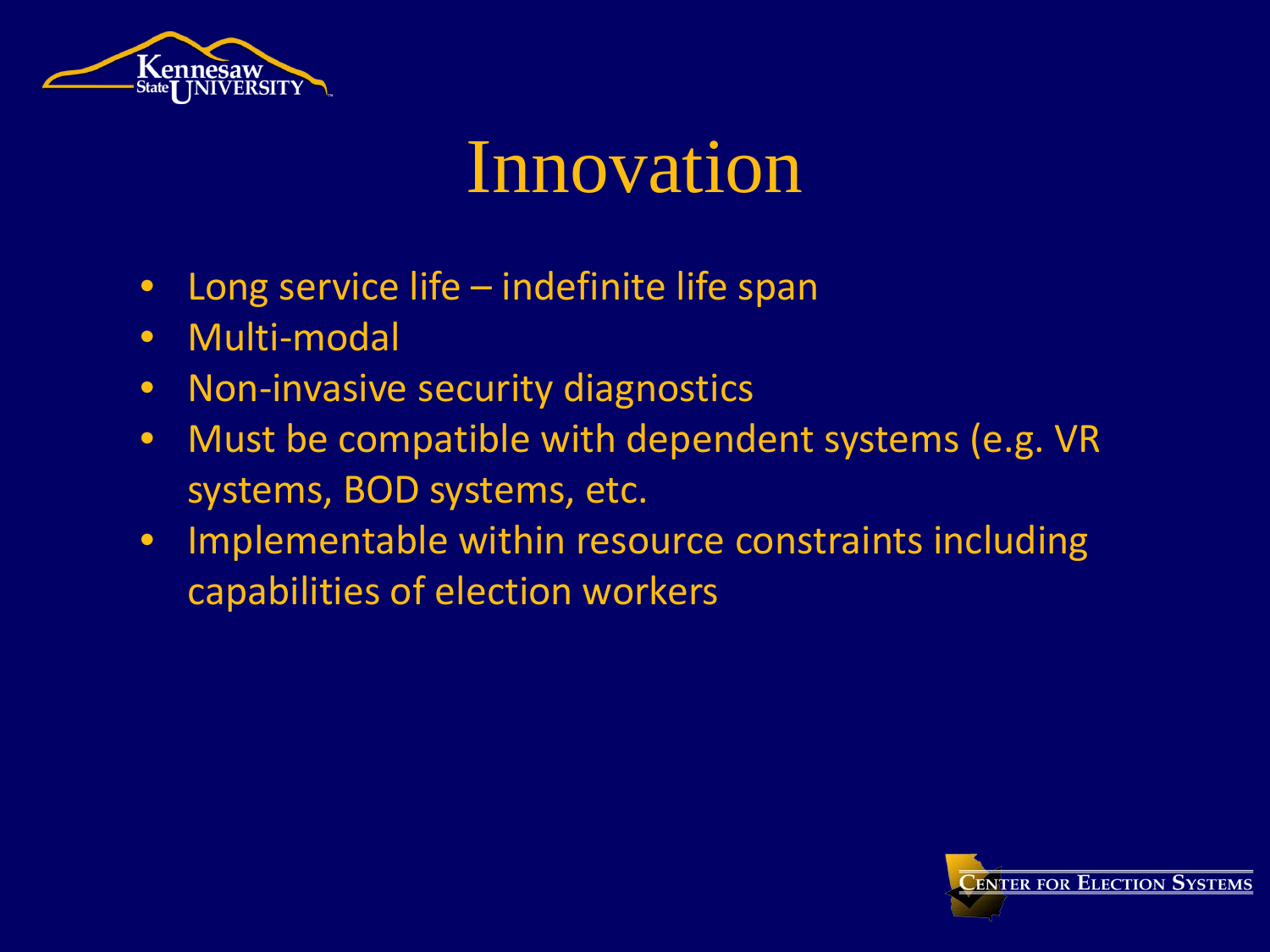

#### Innovation

- Long service life indefinite life span
- Multi-modal
- Non-invasive security diagnostics
- Must be compatible with dependent systems (e.g. VR systems, BOD systems, etc.
- Implementable within resource constraints including capabilities of election workers

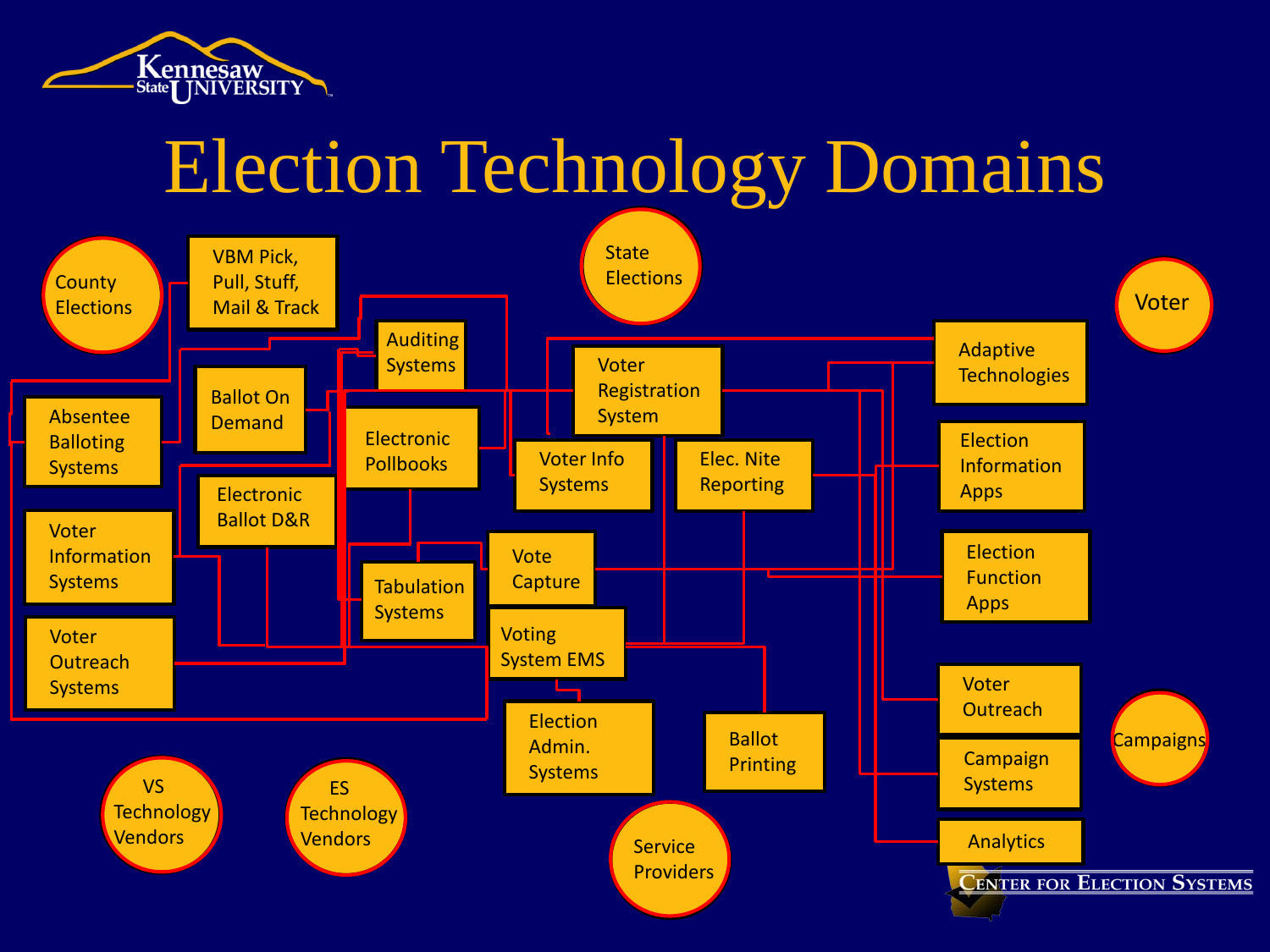

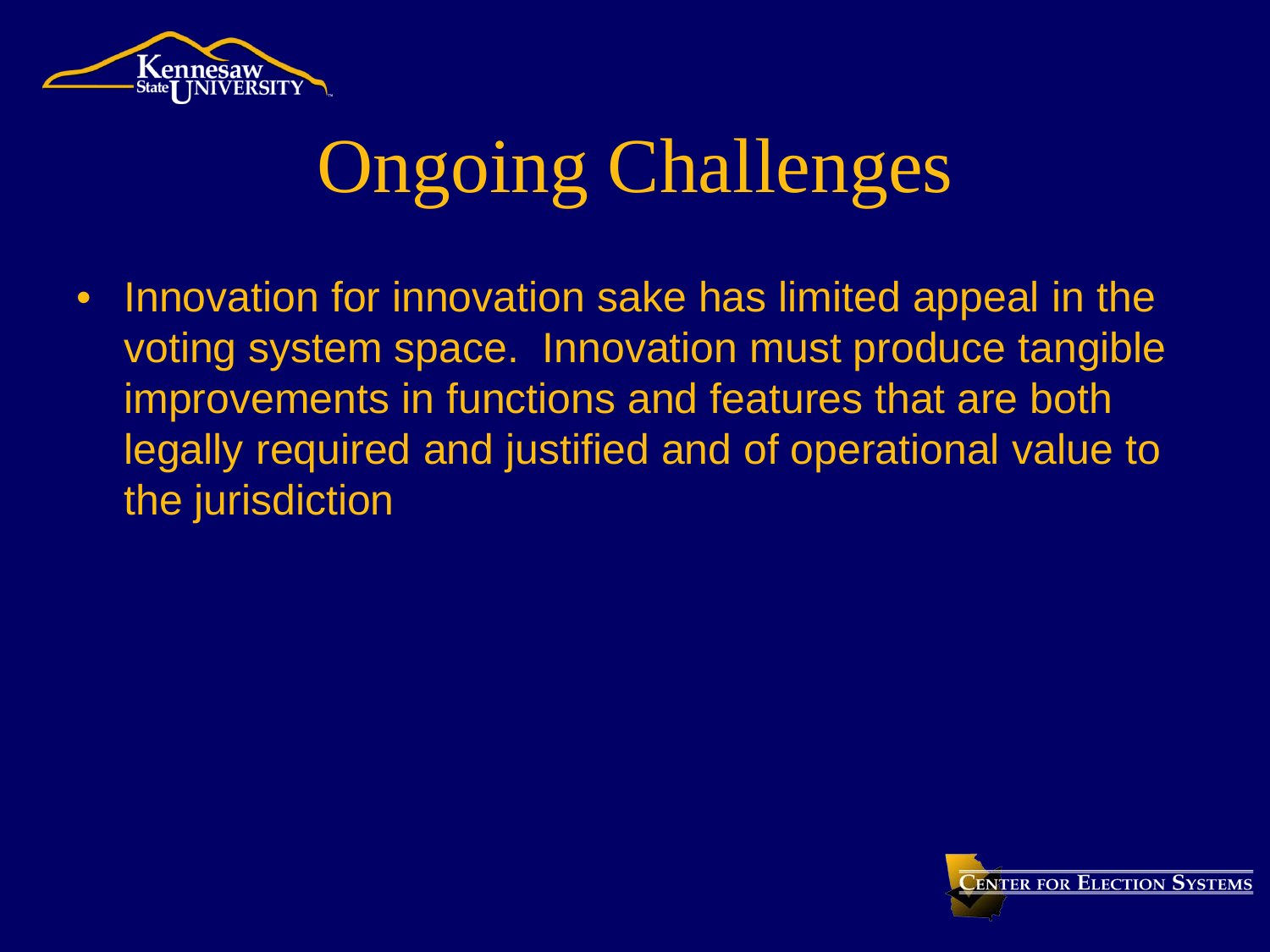

#### Ongoing Challenges

• Innovation for innovation sake has limited appeal in the voting system space. Innovation must produce tangible improvements in functions and features that are both legally required and justified and of operational value to the jurisdiction

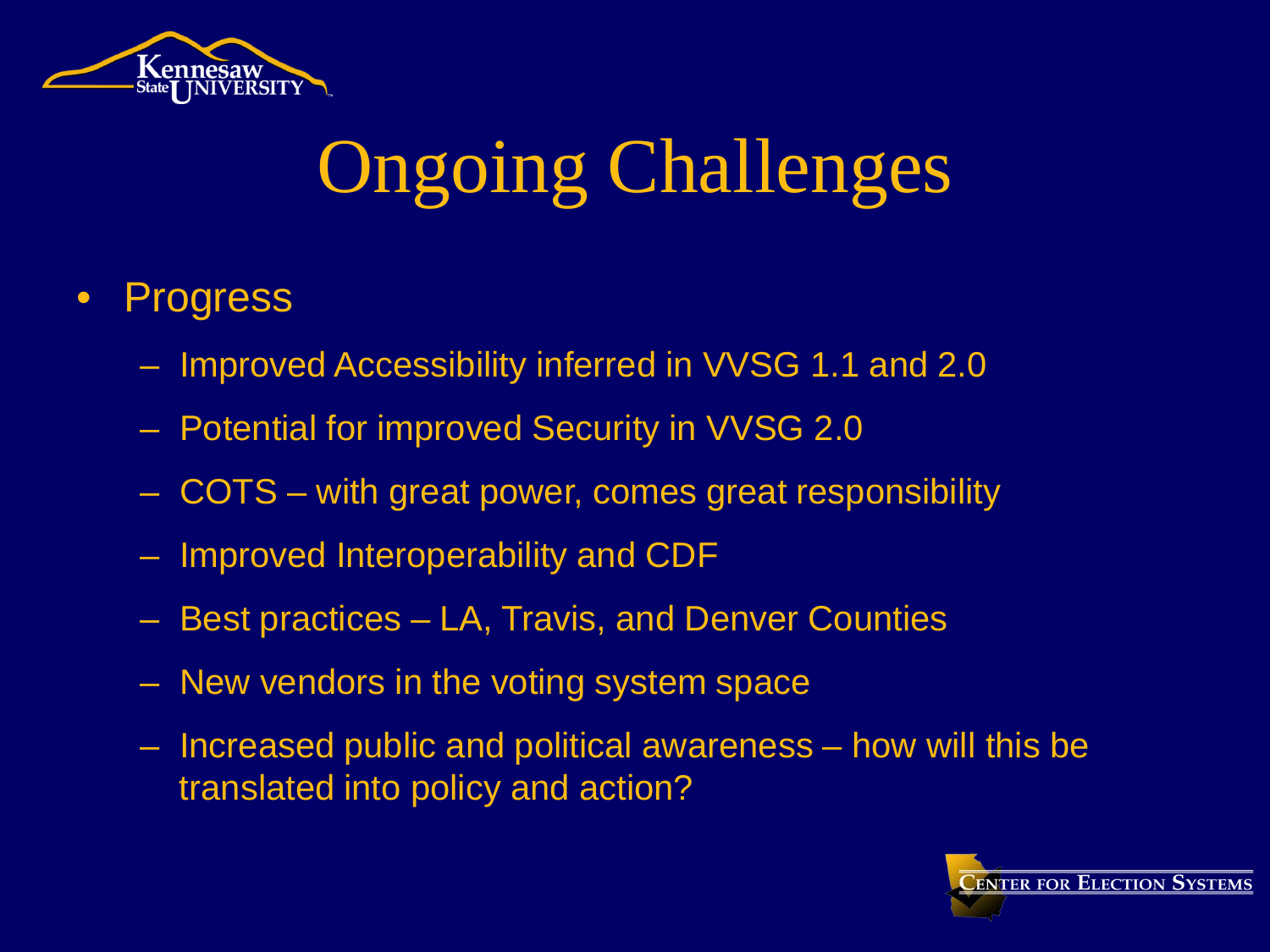

# Ongoing Challenges

#### • Progress

- Improved Accessibility inferred in VVSG 1.1 and 2.0
- Potential for improved Security in VVSG 2.0
- COTS with great power, comes great responsibility
- Improved Interoperability and CDF
- Best practices LA, Travis, and Denver Counties
- New vendors in the voting system space
- Increased public and political awareness how will this be translated into policy and action?

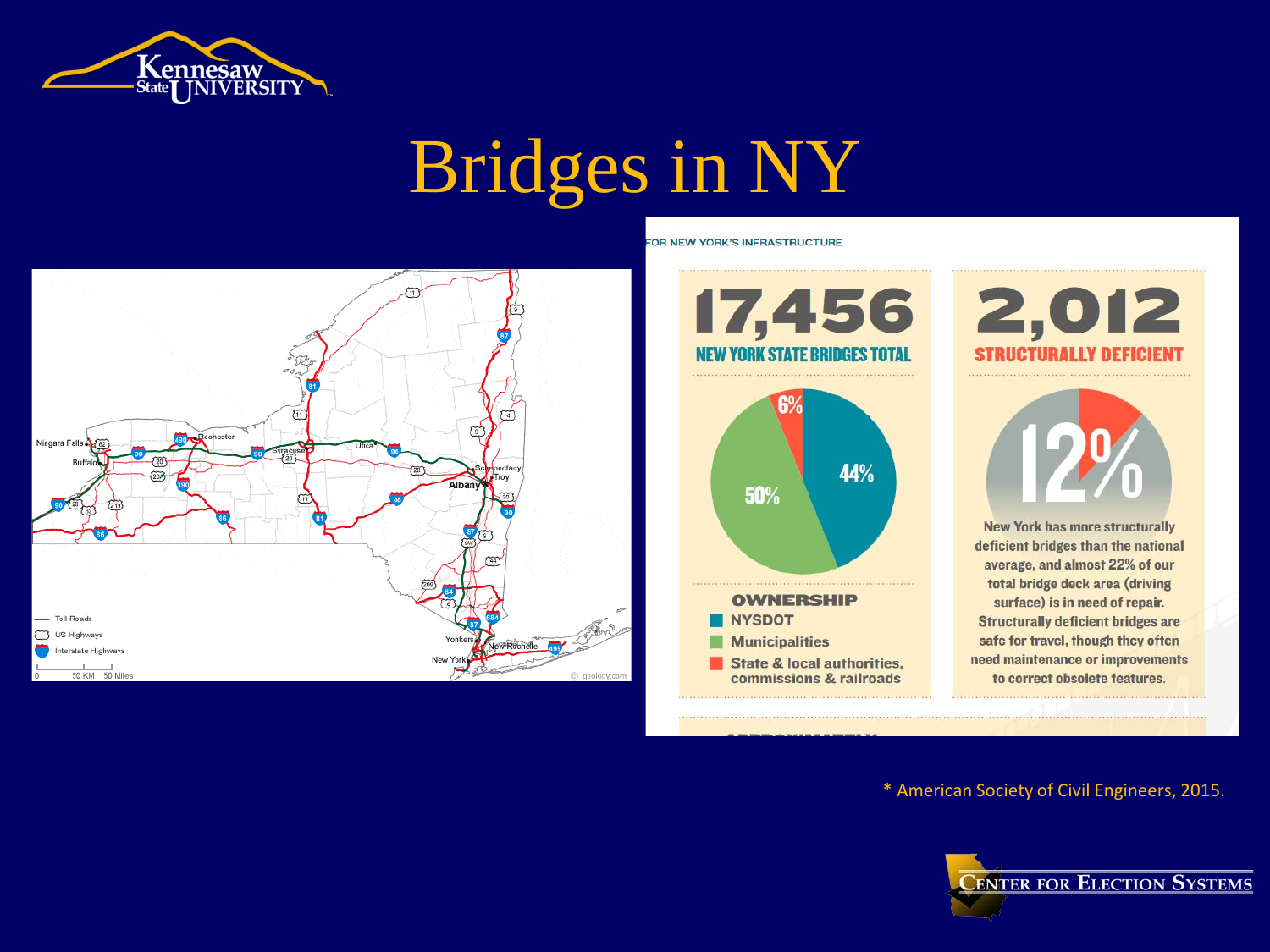

# Bridges in NY





FOR NEW YORK'S INFRASTRUCTURE

2,012 **STRUCTURALLY DEFICIENT** 



**New York has more structurally** deficient bridges than the national average, and almost 22% of our total bridge deck area (driving surface) is in need of repair. **Structurally deficient bridges are** safe for travel, though they often need maintenance or improvements to correct obsolete features.

\* American Society of Civil Engineers, 2015.